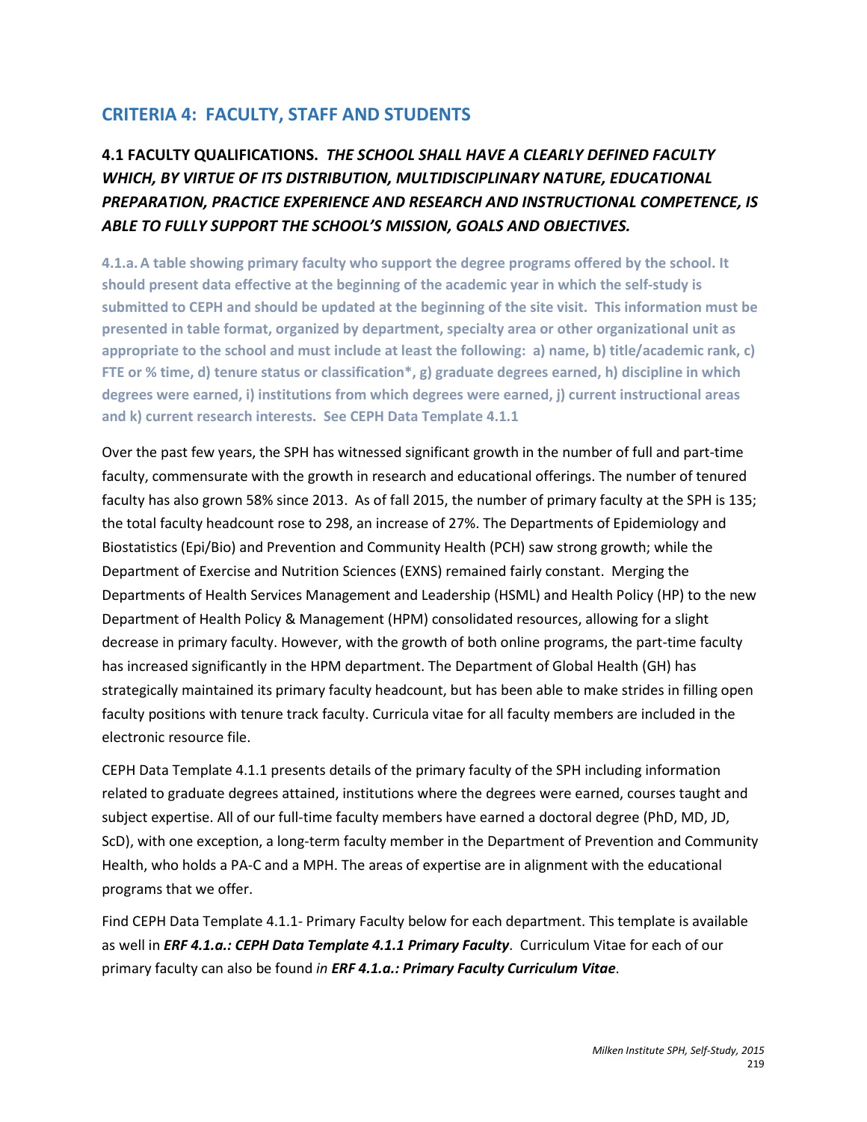# **CRITERIA 4: FACULTY, STAFF AND STUDENTS**

**4.1 FACULTY QUALIFICATIONS.** *THE SCHOOL SHALL HAVE A CLEARLY DEFINED FACULTY WHICH, BY VIRTUE OF ITS DISTRIBUTION, MULTIDISCIPLINARY NATURE, EDUCATIONAL PREPARATION, PRACTICE EXPERIENCE AND RESEARCH AND INSTRUCTIONAL COMPETENCE, IS ABLE TO FULLY SUPPORT THE SCHOOL'S MISSION, GOALS AND OBJECTIVES.*

**4.1.a.A table showing primary faculty who support the degree programs offered by the school. It should present data effective at the beginning of the academic year in which the self-study is submitted to CEPH and should be updated at the beginning of the site visit. This information must be presented in table format, organized by department, specialty area or other organizational unit as appropriate to the school and must include at least the following: a) name, b) title/academic rank, c) FTE or % time, d) tenure status or classification\*, g) graduate degrees earned, h) discipline in which degrees were earned, i) institutions from which degrees were earned, j) current instructional areas and k) current research interests. See CEPH Data Template 4.1.1**

Over the past few years, the SPH has witnessed significant growth in the number of full and part-time faculty, commensurate with the growth in research and educational offerings. The number of tenured faculty has also grown 58% since 2013. As of fall 2015, the number of primary faculty at the SPH is 135; the total faculty headcount rose to 298, an increase of 27%. The Departments of Epidemiology and Biostatistics (Epi/Bio) and Prevention and Community Health (PCH) saw strong growth; while the Department of Exercise and Nutrition Sciences (EXNS) remained fairly constant. Merging the Departments of Health Services Management and Leadership (HSML) and Health Policy (HP) to the new Department of Health Policy & Management (HPM) consolidated resources, allowing for a slight decrease in primary faculty. However, with the growth of both online programs, the part-time faculty has increased significantly in the HPM department. The Department of Global Health (GH) has strategically maintained its primary faculty headcount, but has been able to make strides in filling open faculty positions with tenure track faculty. Curricula vitae for all faculty members are included in the electronic resource file.

CEPH Data Template 4.1.1 presents details of the primary faculty of the SPH including information related to graduate degrees attained, institutions where the degrees were earned, courses taught and subject expertise. All of our full-time faculty members have earned a doctoral degree (PhD, MD, JD, ScD), with one exception, a long-term faculty member in the Department of Prevention and Community Health, who holds a PA-C and a MPH. The areas of expertise are in alignment with the educational programs that we offer.

Find CEPH Data Template 4.1.1- Primary Faculty below for each department. This template is available as well in *ERF 4.1.a.: CEPH Data Template 4.1.1 Primary Faculty*. Curriculum Vitae for each of our primary faculty can also be found *in ERF 4.1.a.: Primary Faculty Curriculum Vitae*.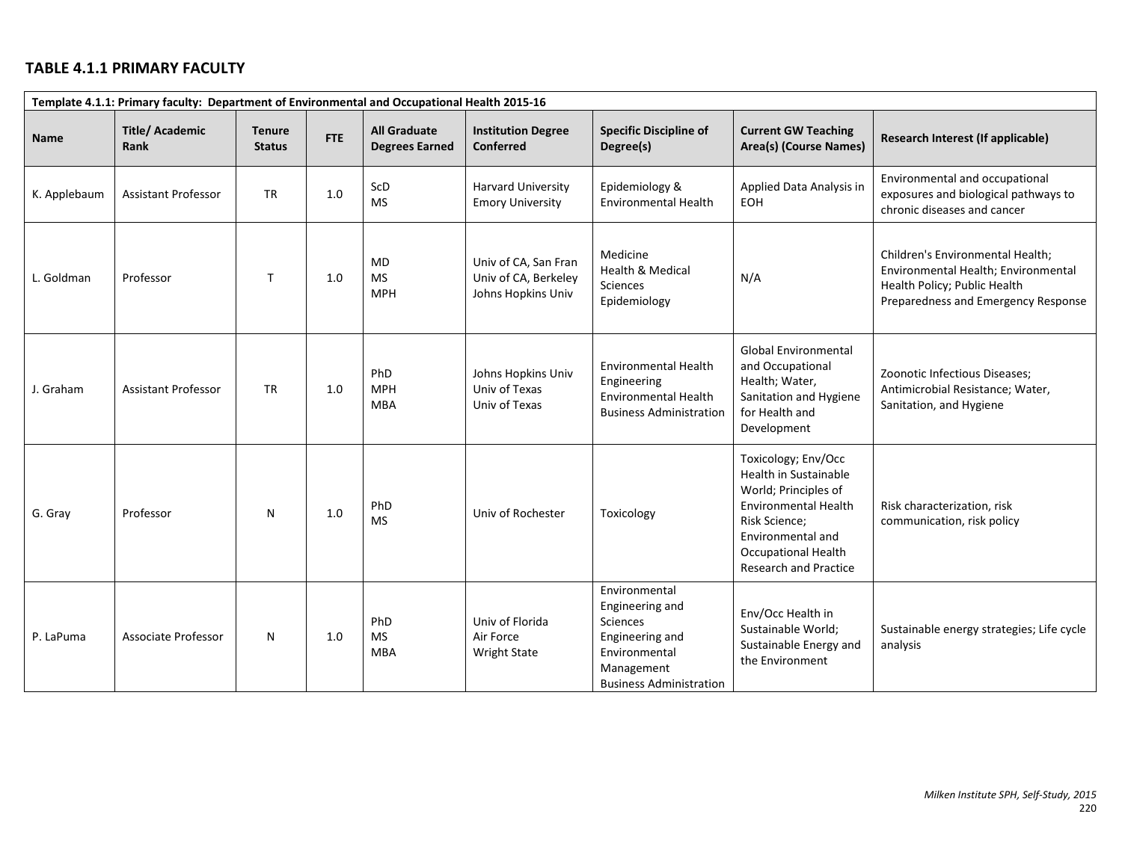# **TABLE 4.1.1 PRIMARY FACULTY**

|              | Template 4.1.1: Primary faculty: Department of Environmental and Occupational Health 2015-16 |                                |            |                                              |                                                                    |                                                                                                                                  |                                                                                                                                                                                                                |                                                                                                                                                |  |  |  |  |
|--------------|----------------------------------------------------------------------------------------------|--------------------------------|------------|----------------------------------------------|--------------------------------------------------------------------|----------------------------------------------------------------------------------------------------------------------------------|----------------------------------------------------------------------------------------------------------------------------------------------------------------------------------------------------------------|------------------------------------------------------------------------------------------------------------------------------------------------|--|--|--|--|
| <b>Name</b>  | <b>Title/Academic</b><br>Rank                                                                | <b>Tenure</b><br><b>Status</b> | <b>FTE</b> | <b>All Graduate</b><br><b>Degrees Earned</b> | <b>Institution Degree</b><br><b>Conferred</b>                      | <b>Specific Discipline of</b><br>Degree(s)                                                                                       | <b>Current GW Teaching</b><br>Area(s) (Course Names)                                                                                                                                                           | Research Interest (If applicable)                                                                                                              |  |  |  |  |
| K. Applebaum | <b>Assistant Professor</b>                                                                   | <b>TR</b>                      | 1.0        | ScD<br><b>MS</b>                             | <b>Harvard University</b><br><b>Emory University</b>               | Epidemiology &<br><b>Environmental Health</b>                                                                                    | Applied Data Analysis in<br><b>EOH</b>                                                                                                                                                                         | Environmental and occupational<br>exposures and biological pathways to<br>chronic diseases and cancer                                          |  |  |  |  |
| L. Goldman   | Professor                                                                                    | T.                             | 1.0        | <b>MD</b><br><b>MS</b><br><b>MPH</b>         | Univ of CA, San Fran<br>Univ of CA, Berkeley<br>Johns Hopkins Univ | Medicine<br><b>Health &amp; Medical</b><br>Sciences<br>Epidemiology                                                              | N/A                                                                                                                                                                                                            | Children's Environmental Health;<br>Environmental Health; Environmental<br>Health Policy; Public Health<br>Preparedness and Emergency Response |  |  |  |  |
| J. Graham    | <b>Assistant Professor</b>                                                                   | <b>TR</b>                      | 1.0        | PhD<br><b>MPH</b><br><b>MBA</b>              | Johns Hopkins Univ<br>Univ of Texas<br>Univ of Texas               | <b>Environmental Health</b><br>Engineering<br><b>Environmental Health</b><br><b>Business Administration</b>                      | <b>Global Environmental</b><br>and Occupational<br>Health; Water,<br>Sanitation and Hygiene<br>for Health and<br>Development                                                                                   | Zoonotic Infectious Diseases;<br>Antimicrobial Resistance; Water,<br>Sanitation, and Hygiene                                                   |  |  |  |  |
| G. Gray      | Professor                                                                                    | N                              | 1.0        | PhD<br><b>MS</b>                             | Univ of Rochester                                                  | Toxicology                                                                                                                       | Toxicology; Env/Occ<br><b>Health in Sustainable</b><br>World; Principles of<br><b>Environmental Health</b><br>Risk Science;<br>Environmental and<br><b>Occupational Health</b><br><b>Research and Practice</b> | Risk characterization, risk<br>communication, risk policy                                                                                      |  |  |  |  |
| P. LaPuma    | Associate Professor                                                                          | N                              | 1.0        | PhD<br><b>MS</b><br><b>MBA</b>               | Univ of Florida<br>Air Force<br><b>Wright State</b>                | Environmental<br>Engineering and<br>Sciences<br>Engineering and<br>Environmental<br>Management<br><b>Business Administration</b> | Env/Occ Health in<br>Sustainable World;<br>Sustainable Energy and<br>the Environment                                                                                                                           | Sustainable energy strategies; Life cycle<br>analysis                                                                                          |  |  |  |  |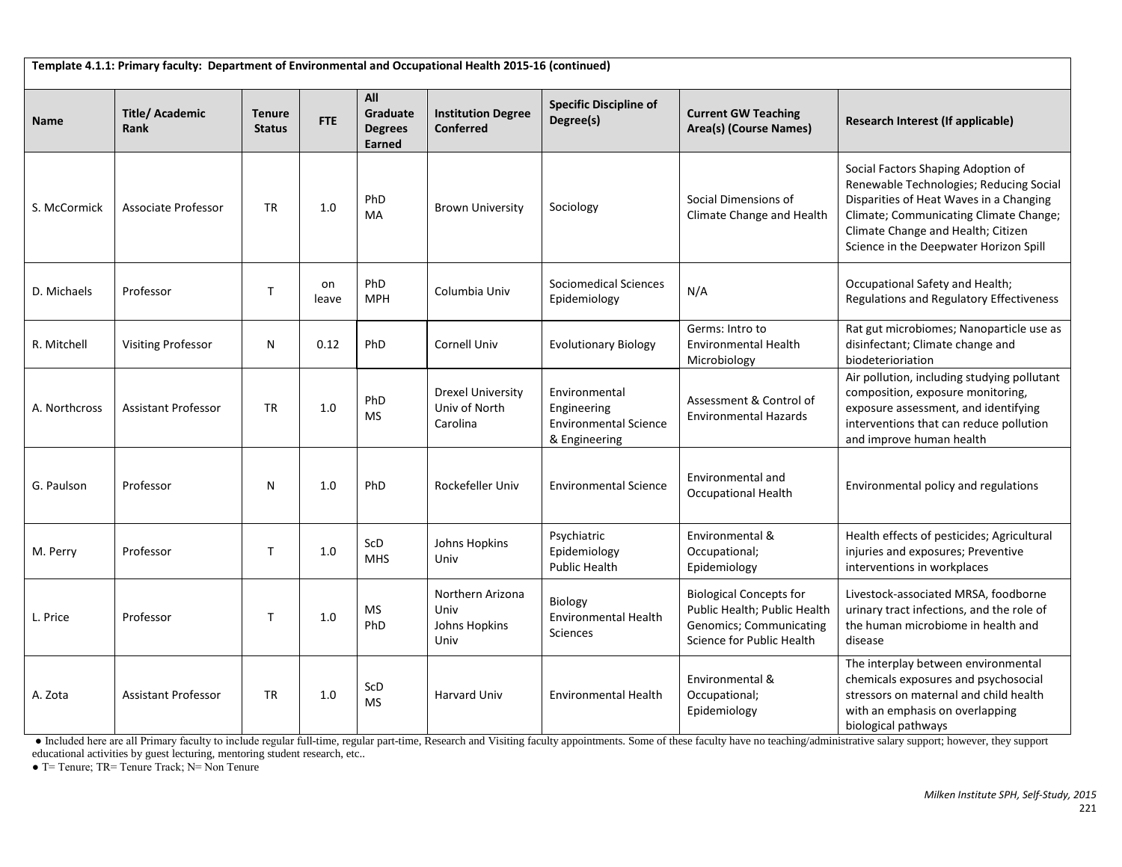**Template 4.1.1: Primary faculty: Department of Environmental and Occupational Health 2015-16 (continued) Name Title/ Academic Rank Tenure Status FTE All Graduate Degrees Earned Institution Degree Conferred Specific Discipline of Degree(s) Current GW Teaching**<br>Degree(s) **Current GW Teaching Research Interest (If applicable)** S. McCormick Associate Professor TR 1.0 PhD PhD Brown University Sociology Social Dimensions of Social Dimensions of Social Dimensions of Social Dimensions of Social Dimensions of Social Dimensions of Social Dimensions of Social Dimensions of Social Dimensions of So Social Factors Shaping Adoption of Renewable Technologies; Reducing Social Disparities of Heat Waves in a Changing Climate; Communicating Climate Change; Climate Change and Health; Citizen Science in the Deepwater Horizon Spill D. Michaels Professor T on leave PhD PhD Columbia Univ Sociomedical Sciences<br>
NPH Columbia Univ Epidemiology Sociomedical Sciences | N/A  $\left\vert \begin{array}{ccc} 0 & \text{Ccupational Safety and Health;} \\ 0 & \text{Regularions and Regularory Effectiveness} \end{array} \right\vert$ R. Mitchell Visiting Professor N 0.12 PhD Cornell Univ Evolutionary Biology Germs: Intro to Environmental Health Microbiology Rat gut microbiomes; Nanoparticle use as disinfectant; Climate change and biodeterioriation A. Northcross Assistant Professor TR 1.0 PhD MS Drexel University Univ of North Carolina Environmental Engineering Environmental Science & Engineering Assessment & Control of Environmental Hazards Air pollution, including studying pollutant composition, exposure monitoring, exposure assessment, and identifying interventions that can reduce pollution and improve human health G. Paulson Professor N N 1.0 PhD Rockefeller Univ Environmental Science Environmental and Environmental and<br>Occupational Health Environmental policy and regulations M. Perry Professor  $\overline{I}$  T 1.0 ScD MHS Johns Hopkins Univ Psychiatric Epidemiology Public Health Environmental & Occupational; Epidemiology Health effects of pesticides; Agricultural injuries and exposures; Preventive interventions in workplaces L. Price Professor  $\begin{array}{|c|c|c|c|c|}\n\hline\n\end{array}$  Professor  $\begin{array}{|c|c|c|c|}\n\hline\n\end{array}$  T  $\begin{array}{|c|c|c|}\n\hline\n\end{array}$  1.0  $\begin{array}{|c|c|c|}\n\hline\n\end{array}$  Professor PhD Northern Arizona Univ Johns Hopkins Univ Biology Environmental Health **Sciences** Biological Concepts for Public Health; Public Health Genomics; Communicating Science for Public Health Livestock-associated MRSA, foodborne urinary tract infections, and the role of the human microbiome in health and disease A. Zota Assistant Professor TR 1.0 SCD MS Harvard Univ Environmental Health Environmental & Occupational; Epidemiology The interplay between environmental chemicals exposures and psychosocial stressors on maternal and child health with an emphasis on overlapping biological pathways

● Included here are all Primary faculty to include regular full-time, regular part-time, Research and Visiting faculty appointments. Some of these faculty have no teaching/administrative salary support; however, they support educational activities by guest lecturing, mentoring student research, etc..

 $\bullet$  T= Tenure: TR= Tenure Track: N= Non Tenure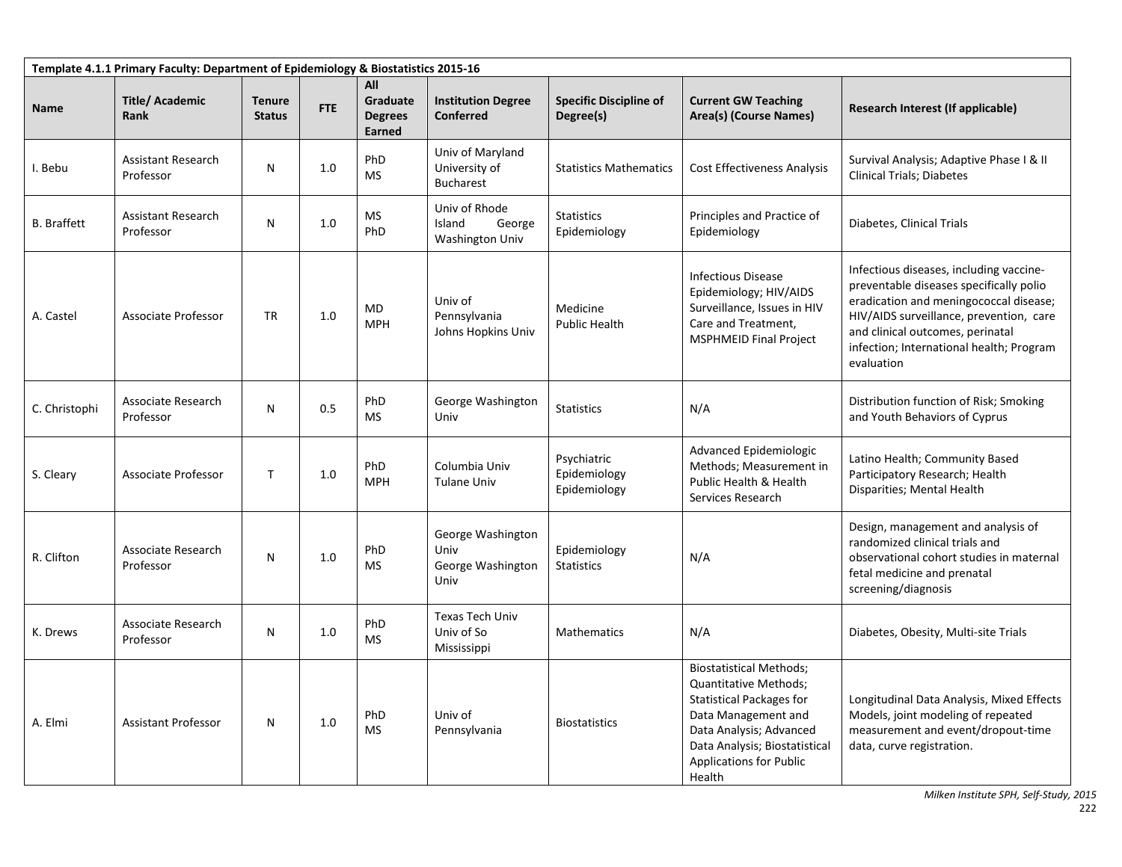| Template 4.1.1 Primary Faculty: Department of Epidemiology & Biostatistics 2015-16 |                                        |                                |            |                                             |                                                        |                                             |                                                                                                                                                                                                                           |                                                                                                                                                                                                                                                                       |  |  |  |
|------------------------------------------------------------------------------------|----------------------------------------|--------------------------------|------------|---------------------------------------------|--------------------------------------------------------|---------------------------------------------|---------------------------------------------------------------------------------------------------------------------------------------------------------------------------------------------------------------------------|-----------------------------------------------------------------------------------------------------------------------------------------------------------------------------------------------------------------------------------------------------------------------|--|--|--|
| Name                                                                               | <b>Title/Academic</b><br>Rank          | <b>Tenure</b><br><b>Status</b> | <b>FTE</b> | All<br>Graduate<br><b>Degrees</b><br>Earned | <b>Institution Degree</b><br><b>Conferred</b>          | <b>Specific Discipline of</b><br>Degree(s)  | <b>Current GW Teaching</b><br>Area(s) (Course Names)                                                                                                                                                                      | Research Interest (If applicable)                                                                                                                                                                                                                                     |  |  |  |
| I. Bebu                                                                            | <b>Assistant Research</b><br>Professor | N                              | 1.0        | PhD<br><b>MS</b>                            | Univ of Maryland<br>University of<br><b>Bucharest</b>  | <b>Statistics Mathematics</b>               | <b>Cost Effectiveness Analysis</b>                                                                                                                                                                                        | Survival Analysis; Adaptive Phase I & II<br><b>Clinical Trials; Diabetes</b>                                                                                                                                                                                          |  |  |  |
| <b>B.</b> Braffett                                                                 | <b>Assistant Research</b><br>Professor | N                              | 1.0        | <b>MS</b><br>PhD                            | Univ of Rhode<br>Island<br>George<br>Washington Univ   | <b>Statistics</b><br>Epidemiology           | Principles and Practice of<br>Epidemiology                                                                                                                                                                                | Diabetes, Clinical Trials                                                                                                                                                                                                                                             |  |  |  |
| A. Castel                                                                          | Associate Professor                    | <b>TR</b>                      | 1.0        | MD<br><b>MPH</b>                            | Univ of<br>Pennsylvania<br>Johns Hopkins Univ          | Medicine<br><b>Public Health</b>            | <b>Infectious Disease</b><br>Epidemiology; HIV/AIDS<br>Surveillance, Issues in HIV<br>Care and Treatment,<br><b>MSPHMEID Final Project</b>                                                                                | Infectious diseases, including vaccine-<br>preventable diseases specifically polio<br>eradication and meningococcal disease;<br>HIV/AIDS surveillance, prevention, care<br>and clinical outcomes, perinatal<br>infection; International health; Program<br>evaluation |  |  |  |
| C. Christophi                                                                      | Associate Research<br>Professor        | N                              | 0.5        | PhD<br><b>MS</b>                            | George Washington<br>Univ                              | <b>Statistics</b>                           | N/A                                                                                                                                                                                                                       | Distribution function of Risk; Smoking<br>and Youth Behaviors of Cyprus                                                                                                                                                                                               |  |  |  |
| S. Cleary                                                                          | Associate Professor                    | $\mathsf{T}$                   | 1.0        | PhD<br><b>MPH</b>                           | Columbia Univ<br>Tulane Univ                           | Psychiatric<br>Epidemiology<br>Epidemiology | Advanced Epidemiologic<br>Methods; Measurement in<br>Public Health & Health<br>Services Research                                                                                                                          | Latino Health; Community Based<br>Participatory Research; Health<br>Disparities; Mental Health                                                                                                                                                                        |  |  |  |
| R. Clifton                                                                         | Associate Research<br>Professor        | $\mathsf{N}$                   | 1.0        | PhD<br><b>MS</b>                            | George Washington<br>Univ<br>George Washington<br>Univ | Epidemiology<br><b>Statistics</b>           | N/A                                                                                                                                                                                                                       | Design, management and analysis of<br>randomized clinical trials and<br>observational cohort studies in maternal<br>fetal medicine and prenatal<br>screening/diagnosis                                                                                                |  |  |  |
| K. Drews                                                                           | Associate Research<br>Professor        | N                              | 1.0        | PhD<br><b>MS</b>                            | <b>Texas Tech Univ</b><br>Univ of So<br>Mississippi    | <b>Mathematics</b>                          | N/A                                                                                                                                                                                                                       | Diabetes, Obesity, Multi-site Trials                                                                                                                                                                                                                                  |  |  |  |
| A. Elmi                                                                            | <b>Assistant Professor</b>             | N                              | 1.0        | PhD<br><b>MS</b>                            | Univ of<br>Pennsylvania                                | <b>Biostatistics</b>                        | <b>Biostatistical Methods;</b><br>Quantitative Methods;<br><b>Statistical Packages for</b><br>Data Management and<br>Data Analysis; Advanced<br>Data Analysis; Biostatistical<br><b>Applications for Public</b><br>Health | Longitudinal Data Analysis, Mixed Effects<br>Models, joint modeling of repeated<br>measurement and event/dropout-time<br>data, curve registration.                                                                                                                    |  |  |  |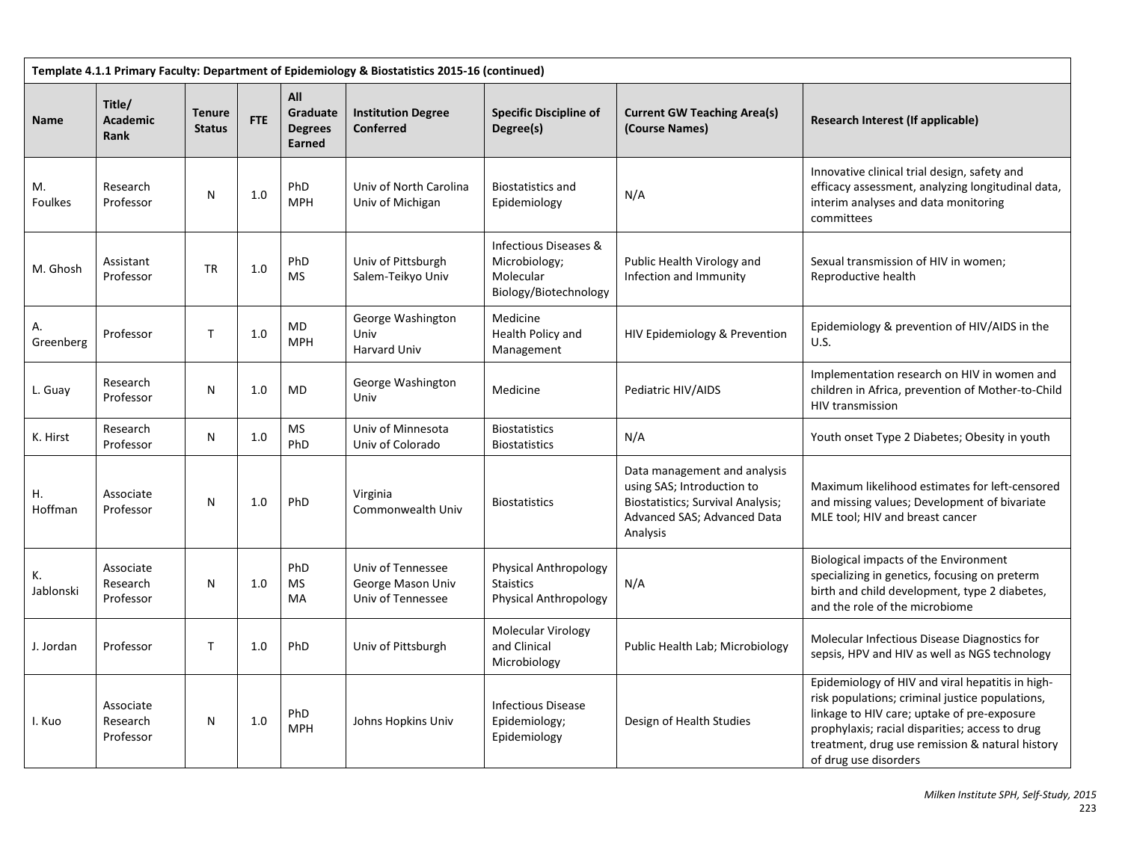| Template 4.1.1 Primary Faculty: Department of Epidemiology & Biostatistics 2015-16 (continued) |                                    |                                |            |                                             |                                                             |                                                                              |                                                                                                                                                   |                                                                                                                                                                                                                                                                                   |  |  |  |
|------------------------------------------------------------------------------------------------|------------------------------------|--------------------------------|------------|---------------------------------------------|-------------------------------------------------------------|------------------------------------------------------------------------------|---------------------------------------------------------------------------------------------------------------------------------------------------|-----------------------------------------------------------------------------------------------------------------------------------------------------------------------------------------------------------------------------------------------------------------------------------|--|--|--|
| <b>Name</b>                                                                                    | Title/<br><b>Academic</b><br>Rank  | <b>Tenure</b><br><b>Status</b> | <b>FTE</b> | All<br>Graduate<br><b>Degrees</b><br>Earned | <b>Institution Degree</b><br>Conferred                      | <b>Specific Discipline of</b><br>Degree(s)                                   | <b>Current GW Teaching Area(s)</b><br>(Course Names)                                                                                              | Research Interest (If applicable)                                                                                                                                                                                                                                                 |  |  |  |
| M.<br>Foulkes                                                                                  | Research<br>Professor              | N                              | 1.0        | PhD<br><b>MPH</b>                           | Univ of North Carolina<br>Univ of Michigan                  | <b>Biostatistics and</b><br>Epidemiology                                     | N/A                                                                                                                                               | Innovative clinical trial design, safety and<br>efficacy assessment, analyzing longitudinal data,<br>interim analyses and data monitoring<br>committees                                                                                                                           |  |  |  |
| M. Ghosh                                                                                       | Assistant<br>Professor             | TR                             | 1.0        | PhD<br><b>MS</b>                            | Univ of Pittsburgh<br>Salem-Teikyo Univ                     | Infectious Diseases &<br>Microbiology;<br>Molecular<br>Biology/Biotechnology | Public Health Virology and<br>Infection and Immunity                                                                                              | Sexual transmission of HIV in women;<br>Reproductive health                                                                                                                                                                                                                       |  |  |  |
| Α.<br>Greenberg                                                                                | Professor                          | $\mathsf{T}$                   | 1.0        | MD<br><b>MPH</b>                            | George Washington<br>Univ<br><b>Harvard Univ</b>            | Medicine<br>Health Policy and<br>Management                                  | HIV Epidemiology & Prevention                                                                                                                     | Epidemiology & prevention of HIV/AIDS in the<br>U.S.                                                                                                                                                                                                                              |  |  |  |
| L. Guay                                                                                        | Research<br>Professor              | $\mathsf{N}$                   | 1.0        | <b>MD</b>                                   | George Washington<br>Univ                                   | Medicine                                                                     | Pediatric HIV/AIDS                                                                                                                                | Implementation research on HIV in women and<br>children in Africa, prevention of Mother-to-Child<br>HIV transmission                                                                                                                                                              |  |  |  |
| K. Hirst                                                                                       | Research<br>Professor              | N                              | 1.0        | <b>MS</b><br>PhD                            | Univ of Minnesota<br>Univ of Colorado                       | <b>Biostatistics</b><br><b>Biostatistics</b>                                 | N/A                                                                                                                                               | Youth onset Type 2 Diabetes; Obesity in youth                                                                                                                                                                                                                                     |  |  |  |
| Η.<br>Hoffman                                                                                  | Associate<br>Professor             | N                              | 1.0        | PhD                                         | Virginia<br>Commonwealth Univ                               | <b>Biostatistics</b>                                                         | Data management and analysis<br>using SAS; Introduction to<br><b>Biostatistics; Survival Analysis;</b><br>Advanced SAS; Advanced Data<br>Analysis | Maximum likelihood estimates for left-censored<br>and missing values; Development of bivariate<br>MLE tool; HIV and breast cancer                                                                                                                                                 |  |  |  |
| К.<br>Jablonski                                                                                | Associate<br>Research<br>Professor | N                              | 1.0        | PhD<br>MS<br>MA                             | Univ of Tennessee<br>George Mason Univ<br>Univ of Tennessee | Physical Anthropology<br><b>Staistics</b><br>Physical Anthropology           | N/A                                                                                                                                               | Biological impacts of the Environment<br>specializing in genetics, focusing on preterm<br>birth and child development, type 2 diabetes,<br>and the role of the microbiome                                                                                                         |  |  |  |
| J. Jordan                                                                                      | Professor                          | T                              | 1.0        | PhD                                         | Univ of Pittsburgh                                          | Molecular Virology<br>and Clinical<br>Microbiology                           | Public Health Lab; Microbiology                                                                                                                   | Molecular Infectious Disease Diagnostics for<br>sepsis, HPV and HIV as well as NGS technology                                                                                                                                                                                     |  |  |  |
| I. Kuo                                                                                         | Associate<br>Research<br>Professor | N                              | 1.0        | PhD<br><b>MPH</b>                           | Johns Hopkins Univ                                          | <b>Infectious Disease</b><br>Epidemiology;<br>Epidemiology                   | Design of Health Studies                                                                                                                          | Epidemiology of HIV and viral hepatitis in high-<br>risk populations; criminal justice populations,<br>linkage to HIV care; uptake of pre-exposure<br>prophylaxis; racial disparities; access to drug<br>treatment, drug use remission & natural history<br>of drug use disorders |  |  |  |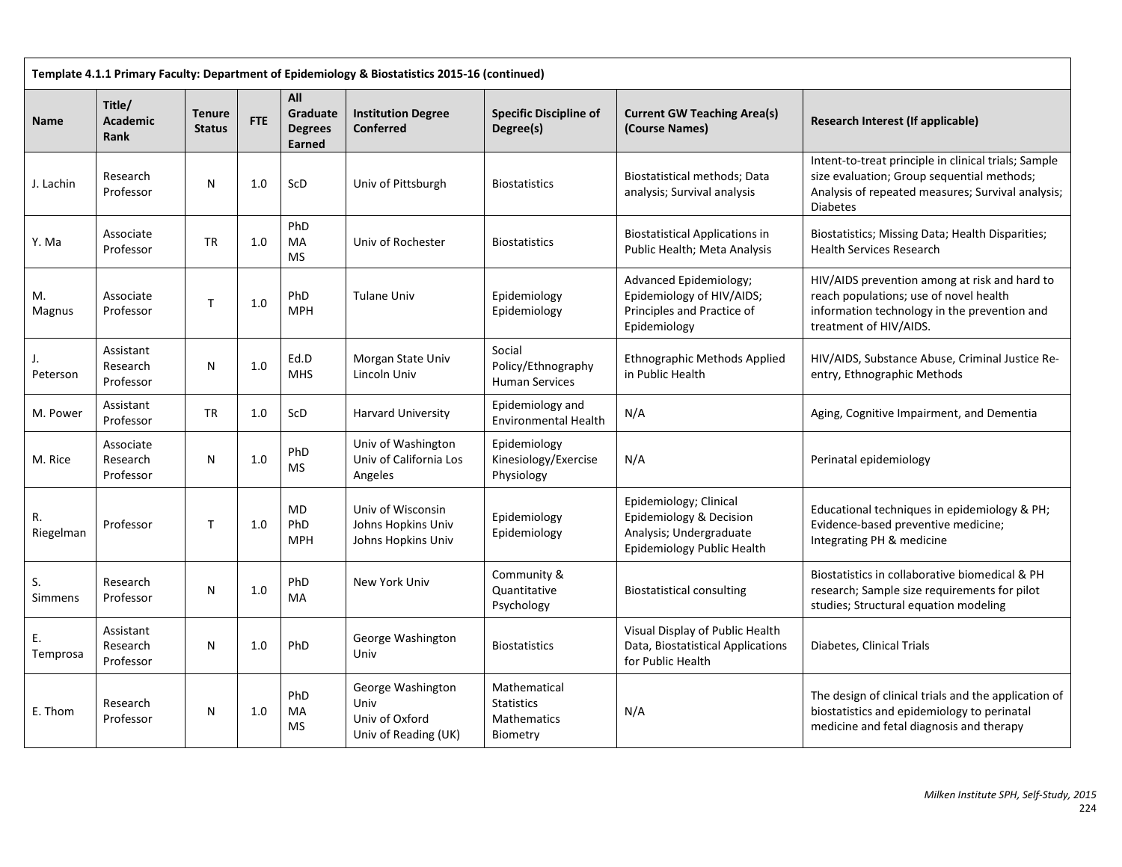| Template 4.1.1 Primary Faculty: Department of Epidemiology & Biostatistics 2015-16 (continued) |                                          |                                |            |                                             |                                                                     |                                                                     |                                                                                                            |                                                                                                                                                                            |  |  |  |
|------------------------------------------------------------------------------------------------|------------------------------------------|--------------------------------|------------|---------------------------------------------|---------------------------------------------------------------------|---------------------------------------------------------------------|------------------------------------------------------------------------------------------------------------|----------------------------------------------------------------------------------------------------------------------------------------------------------------------------|--|--|--|
| Name                                                                                           | Title/<br><b>Academic</b><br><b>Rank</b> | <b>Tenure</b><br><b>Status</b> | <b>FTE</b> | All<br>Graduate<br><b>Degrees</b><br>Earned | <b>Institution Degree</b><br>Conferred                              | <b>Specific Discipline of</b><br>Degree(s)                          | <b>Current GW Teaching Area(s)</b><br>(Course Names)                                                       | Research Interest (If applicable)                                                                                                                                          |  |  |  |
| J. Lachin                                                                                      | Research<br>Professor                    | N                              | 1.0        | ScD                                         | Univ of Pittsburgh                                                  | <b>Biostatistics</b>                                                | Biostatistical methods; Data<br>analysis; Survival analysis                                                | Intent-to-treat principle in clinical trials; Sample<br>size evaluation; Group sequential methods;<br>Analysis of repeated measures; Survival analysis;<br><b>Diabetes</b> |  |  |  |
| Y. Ma                                                                                          | Associate<br>Professor                   | <b>TR</b>                      | 1.0        | PhD<br>MA<br><b>MS</b>                      | Univ of Rochester                                                   | <b>Biostatistics</b>                                                | <b>Biostatistical Applications in</b><br>Public Health; Meta Analysis                                      | Biostatistics; Missing Data; Health Disparities;<br>Health Services Research                                                                                               |  |  |  |
| M.<br>Magnus                                                                                   | Associate<br>Professor                   | T.                             | 1.0        | PhD<br><b>MPH</b>                           | Tulane Univ                                                         | Epidemiology<br>Epidemiology                                        | Advanced Epidemiology;<br>Epidemiology of HIV/AIDS;<br>Principles and Practice of<br>Epidemiology          | HIV/AIDS prevention among at risk and hard to<br>reach populations; use of novel health<br>information technology in the prevention and<br>treatment of HIV/AIDS.          |  |  |  |
| Peterson                                                                                       | Assistant<br>Research<br>Professor       | N                              | 1.0        | Ed.D<br><b>MHS</b>                          | Morgan State Univ<br>Lincoln Univ                                   | Social<br>Policy/Ethnography<br><b>Human Services</b>               | <b>Ethnographic Methods Applied</b><br>in Public Health                                                    | HIV/AIDS, Substance Abuse, Criminal Justice Re-<br>entry, Ethnographic Methods                                                                                             |  |  |  |
| M. Power                                                                                       | Assistant<br>Professor                   | <b>TR</b>                      | 1.0        | ScD                                         | <b>Harvard University</b>                                           | Epidemiology and<br><b>Environmental Health</b>                     | N/A                                                                                                        | Aging, Cognitive Impairment, and Dementia                                                                                                                                  |  |  |  |
| M. Rice                                                                                        | Associate<br>Research<br>Professor       | N                              | 1.0        | PhD<br><b>MS</b>                            | Univ of Washington<br>Univ of California Los<br>Angeles             | Epidemiology<br>Kinesiology/Exercise<br>Physiology                  | N/A                                                                                                        | Perinatal epidemiology                                                                                                                                                     |  |  |  |
| Riegelman                                                                                      | Professor                                | T                              | 1.0        | <b>MD</b><br>PhD<br><b>MPH</b>              | Univ of Wisconsin<br>Johns Hopkins Univ<br>Johns Hopkins Univ       | Epidemiology<br>Epidemiology                                        | Epidemiology; Clinical<br>Epidemiology & Decision<br>Analysis; Undergraduate<br>Epidemiology Public Health | Educational techniques in epidemiology & PH;<br>Evidence-based preventive medicine;<br>Integrating PH & medicine                                                           |  |  |  |
| S.<br>Simmens                                                                                  | Research<br>Professor                    | N                              | 1.0        | PhD<br>MA                                   | New York Univ                                                       | Community &<br>Quantitative<br>Psychology                           | <b>Biostatistical consulting</b>                                                                           | Biostatistics in collaborative biomedical & PH<br>research; Sample size requirements for pilot<br>studies; Structural equation modeling                                    |  |  |  |
| Temprosa                                                                                       | Assistant<br>Research<br>Professor       | N                              | 1.0        | PhD                                         | George Washington<br>Univ                                           | <b>Biostatistics</b>                                                | Visual Display of Public Health<br>Data, Biostatistical Applications<br>for Public Health                  | Diabetes, Clinical Trials                                                                                                                                                  |  |  |  |
| E. Thom                                                                                        | Research<br>Professor                    | N                              | 1.0        | PhD<br>MA<br><b>MS</b>                      | George Washington<br>Univ<br>Univ of Oxford<br>Univ of Reading (UK) | Mathematical<br><b>Statistics</b><br><b>Mathematics</b><br>Biometry | N/A                                                                                                        | The design of clinical trials and the application of<br>biostatistics and epidemiology to perinatal<br>medicine and fetal diagnosis and therapy                            |  |  |  |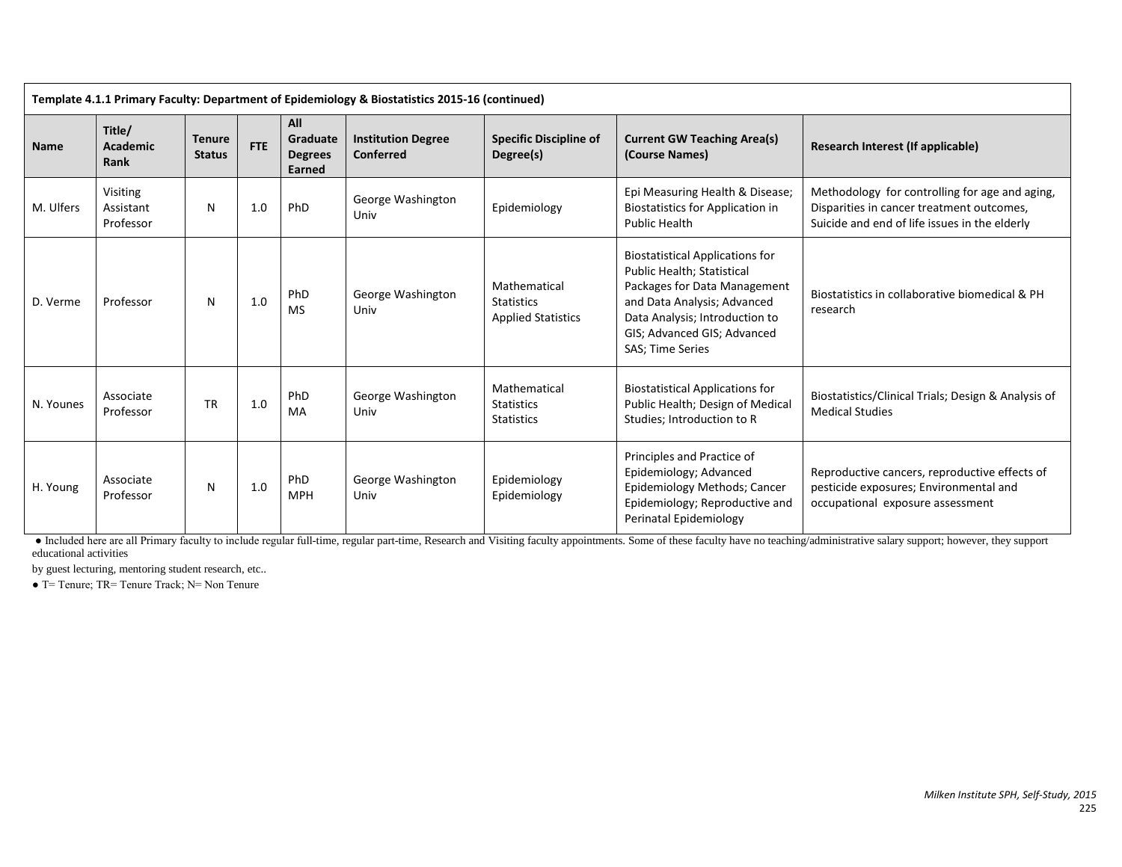| Template 4.1.1 Primary Faculty: Department of Epidemiology & Biostatistics 2015-16 (continued) |                                    |                                |            |                                             |                                        |                                                                |                                                                                                                                                                                                                          |                                                                                                                                              |  |  |
|------------------------------------------------------------------------------------------------|------------------------------------|--------------------------------|------------|---------------------------------------------|----------------------------------------|----------------------------------------------------------------|--------------------------------------------------------------------------------------------------------------------------------------------------------------------------------------------------------------------------|----------------------------------------------------------------------------------------------------------------------------------------------|--|--|
| <b>Name</b>                                                                                    | Title/<br><b>Academic</b><br>Rank  | <b>Tenure</b><br><b>Status</b> | <b>FTE</b> | All<br>Graduate<br><b>Degrees</b><br>Earned | <b>Institution Degree</b><br>Conferred | <b>Specific Discipline of</b><br>Degree(s)                     | <b>Current GW Teaching Area(s)</b><br>(Course Names)                                                                                                                                                                     | Research Interest (If applicable)                                                                                                            |  |  |
| M. Ulfers                                                                                      | Visiting<br>Assistant<br>Professor | N                              | 1.0        | PhD                                         | George Washington<br>Univ              | Epidemiology                                                   | Epi Measuring Health & Disease;<br><b>Biostatistics for Application in</b><br>Public Health                                                                                                                              | Methodology for controlling for age and aging,<br>Disparities in cancer treatment outcomes,<br>Suicide and end of life issues in the elderly |  |  |
| D. Verme                                                                                       | Professor                          | N                              | 1.0        | PhD<br><b>MS</b>                            | George Washington<br>Univ              | Mathematical<br><b>Statistics</b><br><b>Applied Statistics</b> | <b>Biostatistical Applications for</b><br>Public Health; Statistical<br>Packages for Data Management<br>and Data Analysis; Advanced<br>Data Analysis; Introduction to<br>GIS; Advanced GIS; Advanced<br>SAS; Time Series | Biostatistics in collaborative biomedical & PH<br>research                                                                                   |  |  |
| N. Younes                                                                                      | Associate<br>Professor             | <b>TR</b>                      | 1.0        | PhD<br>MA                                   | George Washington<br>Univ              | Mathematical<br><b>Statistics</b><br><b>Statistics</b>         | <b>Biostatistical Applications for</b><br>Public Health; Design of Medical<br>Studies; Introduction to R                                                                                                                 | Biostatistics/Clinical Trials; Design & Analysis of<br><b>Medical Studies</b>                                                                |  |  |
| H. Young                                                                                       | Associate<br>Professor             | N                              | 1.0        | PhD<br><b>MPH</b>                           | George Washington<br>Univ              | Epidemiology<br>Epidemiology                                   | Principles and Practice of<br>Epidemiology; Advanced<br>Epidemiology Methods; Cancer<br>Epidemiology; Reproductive and<br>Perinatal Epidemiology                                                                         | Reproductive cancers, reproductive effects of<br>pesticide exposures; Environmental and<br>occupational exposure assessment                  |  |  |

● Included here are all Primary faculty to include regular full-time, regular part-time, Research and Visiting faculty appointments. Some of these faculty have no teaching/administrative salary support; however, they support educational activities

by guest lecturing, mentoring student research, etc..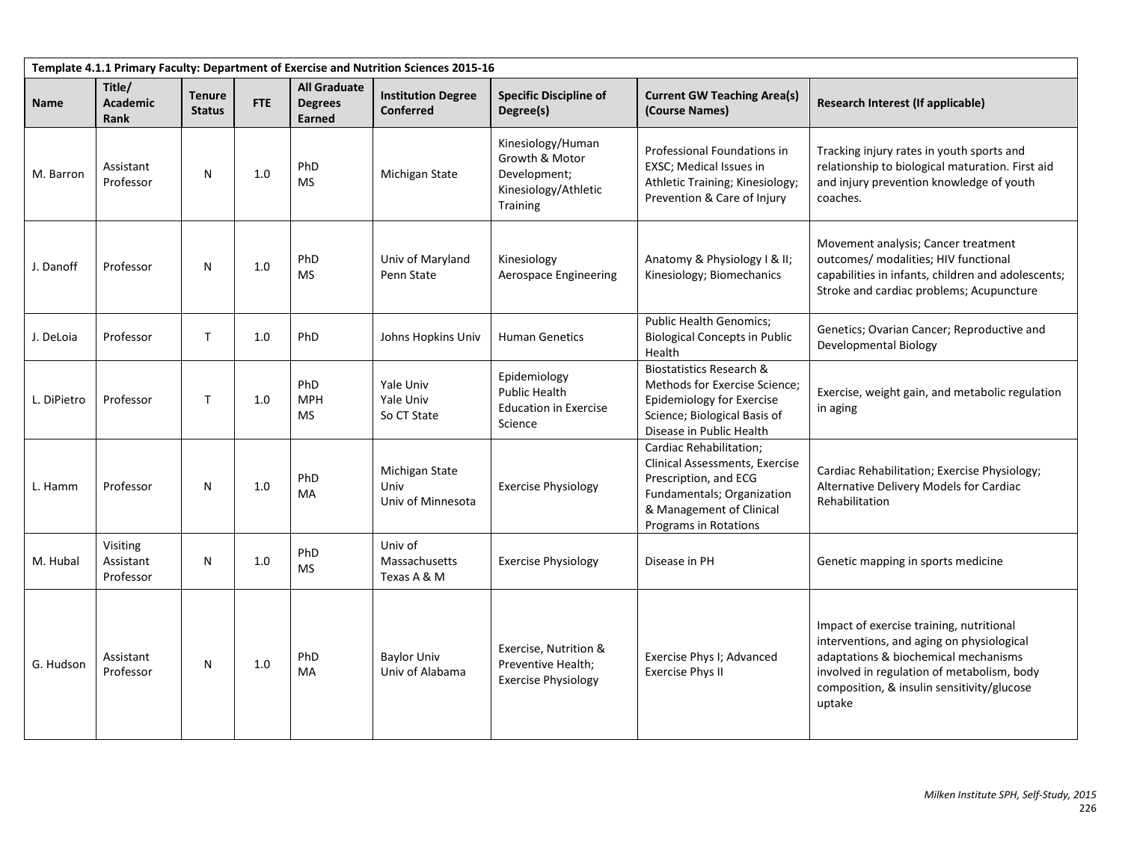| Template 4.1.1 Primary Faculty: Department of Exercise and Nutrition Sciences 2015-16 |                                    |                                |     |                                                        |                                               |                                                                                         |                                                                                                                                                                              |                                                                                                                                                                                                                                     |  |  |  |
|---------------------------------------------------------------------------------------|------------------------------------|--------------------------------|-----|--------------------------------------------------------|-----------------------------------------------|-----------------------------------------------------------------------------------------|------------------------------------------------------------------------------------------------------------------------------------------------------------------------------|-------------------------------------------------------------------------------------------------------------------------------------------------------------------------------------------------------------------------------------|--|--|--|
| <b>Name</b>                                                                           | Title/<br>Academic<br>Rank         | <b>Tenure</b><br><b>Status</b> | FTE | <b>All Graduate</b><br><b>Degrees</b><br><b>Earned</b> | <b>Institution Degree</b><br><b>Conferred</b> | <b>Specific Discipline of</b><br>Degree(s)                                              | <b>Current GW Teaching Area(s)</b><br>(Course Names)                                                                                                                         | Research Interest (If applicable)                                                                                                                                                                                                   |  |  |  |
| M. Barron                                                                             | Assistant<br>Professor             | N                              | 1.0 | PhD<br><b>MS</b>                                       | Michigan State                                | Kinesiology/Human<br>Growth & Motor<br>Development;<br>Kinesiology/Athletic<br>Training | Professional Foundations in<br>EXSC; Medical Issues in<br>Athletic Training; Kinesiology;<br>Prevention & Care of Injury                                                     | Tracking injury rates in youth sports and<br>relationship to biological maturation. First aid<br>and injury prevention knowledge of youth<br>coaches.                                                                               |  |  |  |
| J. Danoff                                                                             | Professor                          | N                              | 1.0 | PhD<br>MS                                              | Univ of Maryland<br>Penn State                | Kinesiology<br>Aerospace Engineering                                                    | Anatomy & Physiology I & II;<br>Kinesiology; Biomechanics                                                                                                                    | Movement analysis; Cancer treatment<br>outcomes/ modalities; HIV functional<br>capabilities in infants, children and adolescents;<br>Stroke and cardiac problems; Acupuncture                                                       |  |  |  |
| J. DeLoia                                                                             | Professor                          | т                              | 1.0 | PhD                                                    | <b>Johns Hopkins Univ</b>                     | <b>Human Genetics</b>                                                                   | <b>Public Health Genomics;</b><br><b>Biological Concepts in Public</b><br>Health                                                                                             | Genetics; Ovarian Cancer; Reproductive and<br>Developmental Biology                                                                                                                                                                 |  |  |  |
| L. DiPietro                                                                           | Professor                          | т                              | 1.0 | PhD<br><b>MPH</b><br><b>MS</b>                         | Yale Univ<br>Yale Univ<br>So CT State         | Epidemiology<br>Public Health<br><b>Education in Exercise</b><br>Science                | <b>Biostatistics Research &amp;</b><br>Methods for Exercise Science;<br>Epidemiology for Exercise<br>Science; Biological Basis of<br>Disease in Public Health                | Exercise, weight gain, and metabolic regulation<br>in aging                                                                                                                                                                         |  |  |  |
| L. Hamm                                                                               | Professor                          | N                              | 1.0 | PhD<br>MA                                              | Michigan State<br>Univ<br>Univ of Minnesota   | <b>Exercise Physiology</b>                                                              | Cardiac Rehabilitation;<br>Clinical Assessments, Exercise<br>Prescription, and ECG<br>Fundamentals; Organization<br>& Management of Clinical<br><b>Programs in Rotations</b> | Cardiac Rehabilitation; Exercise Physiology;<br>Alternative Delivery Models for Cardiac<br>Rehabilitation                                                                                                                           |  |  |  |
| M. Hubal                                                                              | Visiting<br>Assistant<br>Professor | N                              | 1.0 | PhD<br><b>MS</b>                                       | Univ of<br>Massachusetts<br>Texas A & M       | <b>Exercise Physiology</b>                                                              | Disease in PH                                                                                                                                                                | Genetic mapping in sports medicine                                                                                                                                                                                                  |  |  |  |
| G. Hudson                                                                             | Assistant<br>Professor             | N                              | 1.0 | PhD<br><b>MA</b>                                       | <b>Baylor Univ</b><br>Univ of Alabama         | Exercise, Nutrition &<br>Preventive Health;<br><b>Exercise Physiology</b>               | Exercise Phys I; Advanced<br><b>Exercise Phys II</b>                                                                                                                         | Impact of exercise training, nutritional<br>interventions, and aging on physiological<br>adaptations & biochemical mechanisms<br>involved in regulation of metabolism, body<br>composition, & insulin sensitivity/glucose<br>uptake |  |  |  |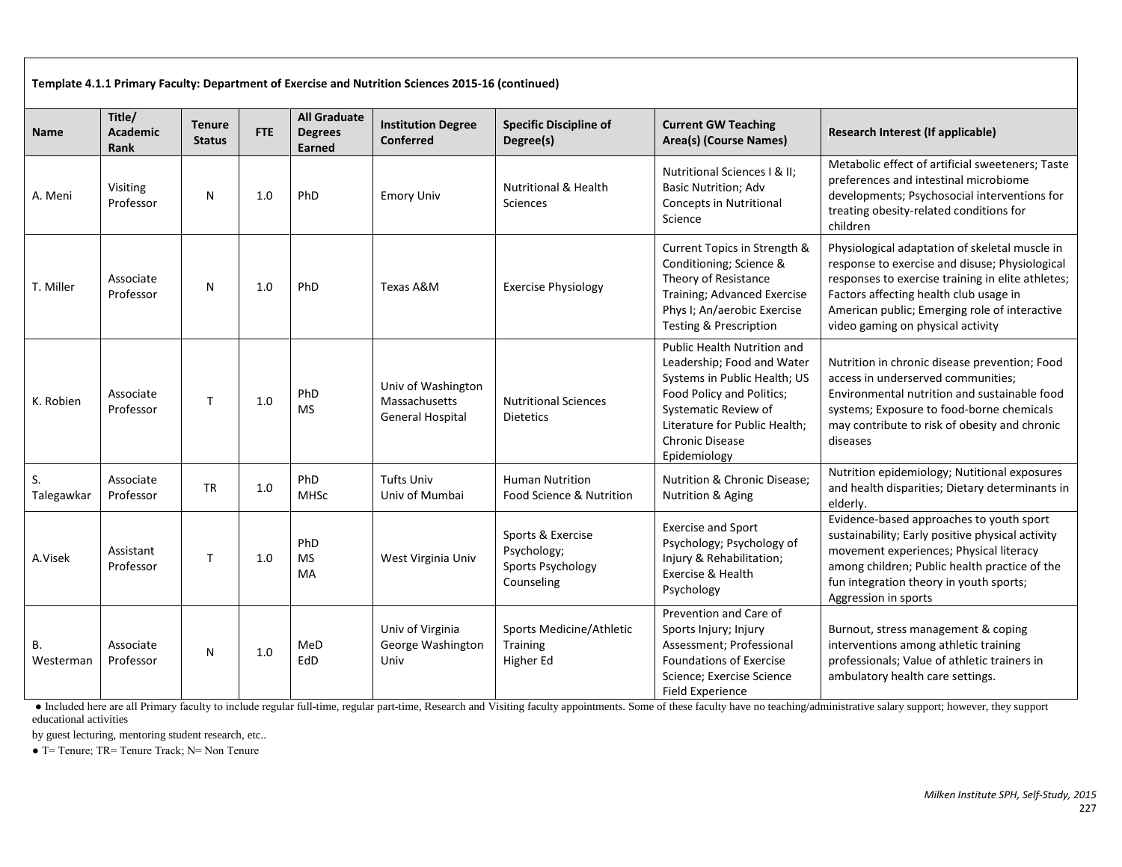| Template 4.1.1 Primary Faculty: Department of Exercise and Nutrition Sciences 2015-16 (continued) |                                          |                                |            |                                                 |                                                                |                                                                     |                                                                                                                                                                                                                    |                                                                                                                                                                                                                                                                                       |  |  |
|---------------------------------------------------------------------------------------------------|------------------------------------------|--------------------------------|------------|-------------------------------------------------|----------------------------------------------------------------|---------------------------------------------------------------------|--------------------------------------------------------------------------------------------------------------------------------------------------------------------------------------------------------------------|---------------------------------------------------------------------------------------------------------------------------------------------------------------------------------------------------------------------------------------------------------------------------------------|--|--|
| Name                                                                                              | Title/<br><b>Academic</b><br><b>Rank</b> | <b>Tenure</b><br><b>Status</b> | <b>FTE</b> | <b>All Graduate</b><br><b>Degrees</b><br>Earned | <b>Institution Degree</b><br><b>Conferred</b>                  | <b>Specific Discipline of</b><br>Degree(s)                          | <b>Current GW Teaching</b><br>Area(s) (Course Names)                                                                                                                                                               | Research Interest (If applicable)                                                                                                                                                                                                                                                     |  |  |
| A. Meni                                                                                           | Visiting<br>Professor                    | N                              | 1.0        | PhD                                             | <b>Emory Univ</b>                                              | <b>Nutritional &amp; Health</b><br><b>Sciences</b>                  | Nutritional Sciences   & II:<br><b>Basic Nutrition; Adv</b><br><b>Concepts in Nutritional</b><br>Science                                                                                                           | Metabolic effect of artificial sweeteners; Taste<br>preferences and intestinal microbiome<br>developments; Psychosocial interventions for<br>treating obesity-related conditions for<br>children                                                                                      |  |  |
| T. Miller                                                                                         | Associate<br>Professor                   | N                              | 1.0        | <b>PhD</b>                                      | Texas A&M                                                      | <b>Exercise Physiology</b>                                          | Current Topics in Strength &<br>Conditioning; Science &<br>Theory of Resistance<br>Training; Advanced Exercise<br>Phys I; An/aerobic Exercise<br><b>Testing &amp; Prescription</b>                                 | Physiological adaptation of skeletal muscle in<br>response to exercise and disuse; Physiological<br>responses to exercise training in elite athletes;<br>Factors affecting health club usage in<br>American public; Emerging role of interactive<br>video gaming on physical activity |  |  |
| K. Robien                                                                                         | Associate<br>Professor                   | T                              | 1.0        | PhD<br><b>MS</b>                                | Univ of Washington<br>Massachusetts<br><b>General Hospital</b> | <b>Nutritional Sciences</b><br><b>Dietetics</b>                     | Public Health Nutrition and<br>Leadership; Food and Water<br>Systems in Public Health; US<br>Food Policy and Politics;<br>Systematic Review of<br>Literature for Public Health:<br>Chronic Disease<br>Epidemiology | Nutrition in chronic disease prevention; Food<br>access in underserved communities;<br>Environmental nutrition and sustainable food<br>systems; Exposure to food-borne chemicals<br>may contribute to risk of obesity and chronic<br>diseases                                         |  |  |
| S.<br>Talegawkar                                                                                  | Associate<br>Professor                   | <b>TR</b>                      | 1.0        | PhD<br>MHSc                                     | <b>Tufts Univ</b><br>Univ of Mumbai                            | <b>Human Nutrition</b><br>Food Science & Nutrition                  | <b>Nutrition &amp; Chronic Disease:</b><br>Nutrition & Aging                                                                                                                                                       | Nutrition epidemiology; Nutitional exposures<br>and health disparities; Dietary determinants in<br>elderly.                                                                                                                                                                           |  |  |
| A.Visek                                                                                           | Assistant<br>Professor                   | T                              | 1.0        | PhD<br><b>MS</b><br>MA                          | West Virginia Univ                                             | Sports & Exercise<br>Psychology;<br>Sports Psychology<br>Counseling | <b>Exercise and Sport</b><br>Psychology; Psychology of<br>Injury & Rehabilitation;<br>Exercise & Health<br>Psychology                                                                                              | Evidence-based approaches to youth sport<br>sustainability; Early positive physical activity<br>movement experiences; Physical literacy<br>among children; Public health practice of the<br>fun integration theory in youth sports;<br>Aggression in sports                           |  |  |
| В.<br>Westerman                                                                                   | Associate<br>Professor                   | N                              | 1.0        | MeD<br>EdD                                      | Univ of Virginia<br>George Washington<br>Univ                  | Sports Medicine/Athletic<br><b>Training</b><br>Higher Ed            | Prevention and Care of<br>Sports Injury; Injury<br>Assessment; Professional<br>Foundations of Exercise<br>Science; Exercise Science<br>Field Experience                                                            | Burnout, stress management & coping<br>interventions among athletic training<br>professionals; Value of athletic trainers in<br>ambulatory health care settings.                                                                                                                      |  |  |

● Included here are all Primary faculty to include regular full-time, regular part-time, Research and Visiting faculty appointments. Some of these faculty have no teaching/administrative salary support; however, they support educational activities

by guest lecturing, mentoring student research, etc..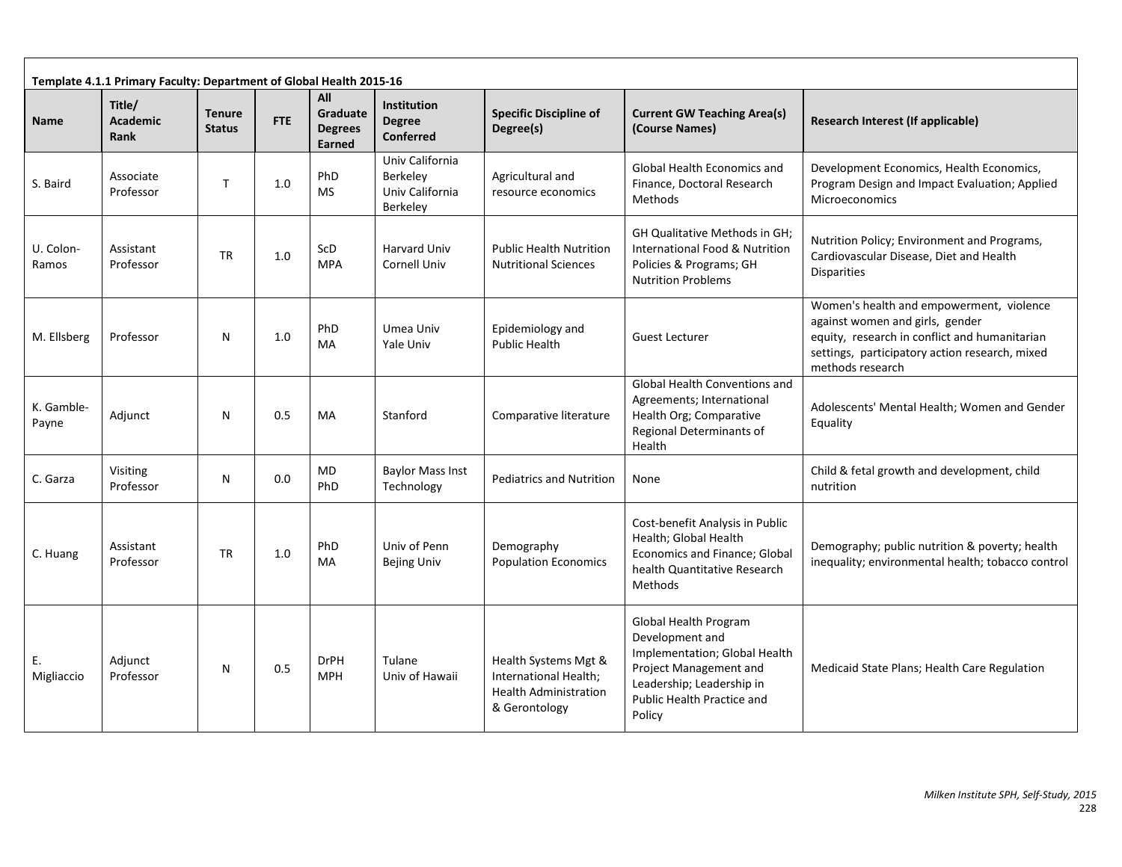| Template 4.1.1 Primary Faculty: Department of Global Health 2015-16 |                                   |                                |            |                                             |                                                                   |                                                                                                |                                                                                                                                                                                 |                                                                                                                                                                                                    |  |  |  |
|---------------------------------------------------------------------|-----------------------------------|--------------------------------|------------|---------------------------------------------|-------------------------------------------------------------------|------------------------------------------------------------------------------------------------|---------------------------------------------------------------------------------------------------------------------------------------------------------------------------------|----------------------------------------------------------------------------------------------------------------------------------------------------------------------------------------------------|--|--|--|
| <b>Name</b>                                                         | Title/<br><b>Academic</b><br>Rank | <b>Tenure</b><br><b>Status</b> | <b>FTE</b> | All<br>Graduate<br><b>Degrees</b><br>Earned | <b>Institution</b><br><b>Degree</b><br><b>Conferred</b>           | <b>Specific Discipline of</b><br>Degree(s)                                                     | <b>Current GW Teaching Area(s)</b><br>(Course Names)                                                                                                                            | Research Interest (If applicable)                                                                                                                                                                  |  |  |  |
| S. Baird                                                            | Associate<br>Professor            | $\mathsf{T}$                   | 1.0        | PhD<br><b>MS</b>                            | Univ California<br><b>Berkeley</b><br>Univ California<br>Berkeley | Agricultural and<br>resource economics                                                         | <b>Global Health Economics and</b><br>Finance, Doctoral Research<br>Methods                                                                                                     | Development Economics, Health Economics,<br>Program Design and Impact Evaluation; Applied<br>Microeconomics                                                                                        |  |  |  |
| U. Colon-<br>Ramos                                                  | Assistant<br>Professor            | <b>TR</b>                      | 1.0        | ScD<br><b>MPA</b>                           | <b>Harvard Univ</b><br><b>Cornell Univ</b>                        | <b>Public Health Nutrition</b><br><b>Nutritional Sciences</b>                                  | GH Qualitative Methods in GH;<br>International Food & Nutrition<br>Policies & Programs; GH<br><b>Nutrition Problems</b>                                                         | Nutrition Policy; Environment and Programs,<br>Cardiovascular Disease, Diet and Health<br><b>Disparities</b>                                                                                       |  |  |  |
| M. Ellsberg                                                         | Professor                         | N                              | 1.0        | PhD<br>MA                                   | Umea Univ<br>Yale Univ                                            | Epidemiology and<br><b>Public Health</b>                                                       | Guest Lecturer                                                                                                                                                                  | Women's health and empowerment, violence<br>against women and girls, gender<br>equity, research in conflict and humanitarian<br>settings, participatory action research, mixed<br>methods research |  |  |  |
| K. Gamble-<br>Payne                                                 | Adjunct                           | N                              | 0.5        | MA                                          | Stanford                                                          | Comparative literature                                                                         | Global Health Conventions and<br>Agreements; International<br>Health Org; Comparative<br>Regional Determinants of<br>Health                                                     | Adolescents' Mental Health; Women and Gender<br>Equality                                                                                                                                           |  |  |  |
| C. Garza                                                            | Visiting<br>Professor             | N                              | 0.0        | MD<br>PhD                                   | <b>Baylor Mass Inst</b><br>Technology                             | <b>Pediatrics and Nutrition</b>                                                                | None                                                                                                                                                                            | Child & fetal growth and development, child<br>nutrition                                                                                                                                           |  |  |  |
| C. Huang                                                            | Assistant<br>Professor            | <b>TR</b>                      | 1.0        | PhD<br>MA                                   | Univ of Penn<br><b>Bejing Univ</b>                                | Demography<br><b>Population Economics</b>                                                      | Cost-benefit Analysis in Public<br>Health; Global Health<br>Economics and Finance; Global<br>health Quantitative Research<br>Methods                                            | Demography; public nutrition & poverty; health<br>inequality; environmental health; tobacco control                                                                                                |  |  |  |
| Ε.<br>Migliaccio                                                    | Adjunct<br>Professor              | N                              | 0.5        | <b>DrPH</b><br><b>MPH</b>                   | Tulane<br>Univ of Hawaii                                          | Health Systems Mgt &<br>International Health:<br><b>Health Administration</b><br>& Gerontology | Global Health Program<br>Development and<br>Implementation; Global Health<br>Project Management and<br>Leadership; Leadership in<br><b>Public Health Practice and</b><br>Policy | Medicaid State Plans; Health Care Regulation                                                                                                                                                       |  |  |  |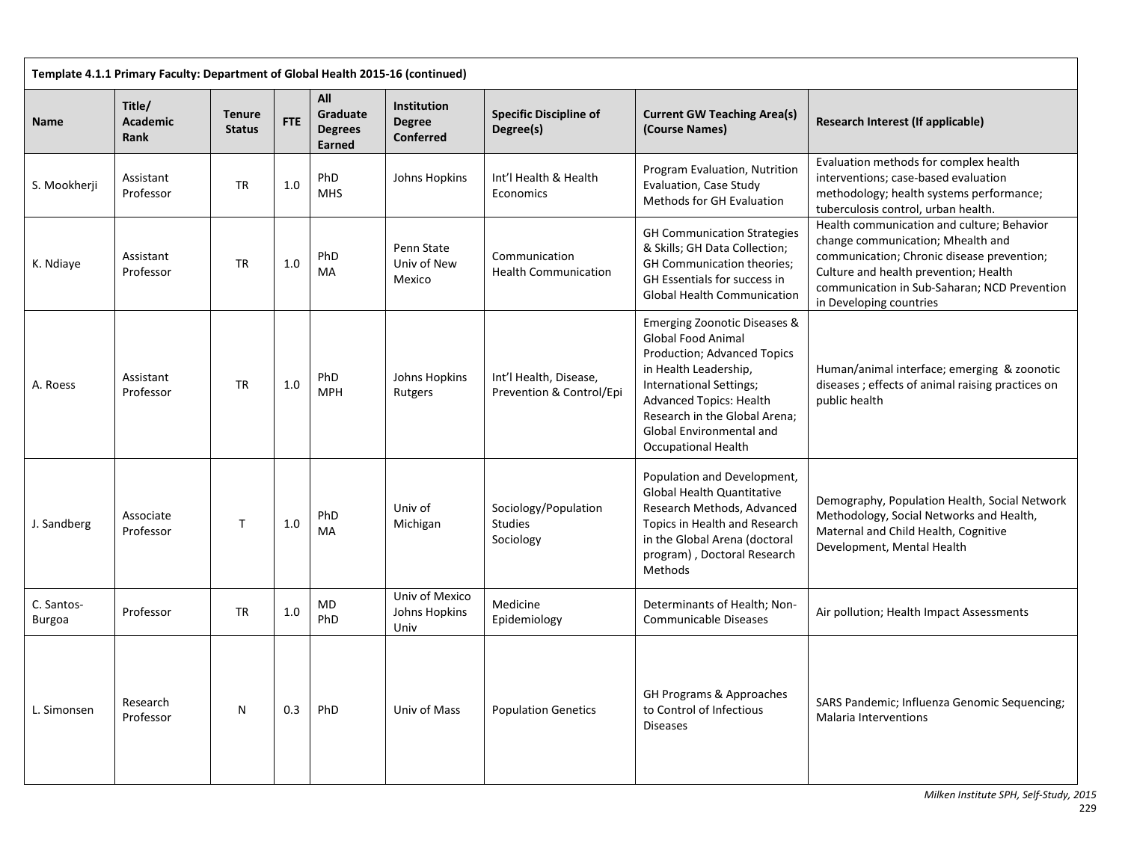| Template 4.1.1 Primary Faculty: Department of Global Health 2015-16 (continued) |                                   |                                |            |                                                    |                                                  |                                                     |                                                                                                                                                                                                                                                                                             |                                                                                                                                                                                                                                                   |  |  |  |
|---------------------------------------------------------------------------------|-----------------------------------|--------------------------------|------------|----------------------------------------------------|--------------------------------------------------|-----------------------------------------------------|---------------------------------------------------------------------------------------------------------------------------------------------------------------------------------------------------------------------------------------------------------------------------------------------|---------------------------------------------------------------------------------------------------------------------------------------------------------------------------------------------------------------------------------------------------|--|--|--|
| Name                                                                            | Title/<br><b>Academic</b><br>Rank | <b>Tenure</b><br><b>Status</b> | <b>FTE</b> | All<br>Graduate<br><b>Degrees</b><br><b>Earned</b> | Institution<br><b>Degree</b><br><b>Conferred</b> | <b>Specific Discipline of</b><br>Degree(s)          | <b>Current GW Teaching Area(s)</b><br>(Course Names)                                                                                                                                                                                                                                        | Research Interest (If applicable)                                                                                                                                                                                                                 |  |  |  |
| S. Mookherji                                                                    | Assistant<br>Professor            | <b>TR</b>                      | 1.0        | PhD<br><b>MHS</b>                                  | Johns Hopkins                                    | Int'l Health & Health<br>Economics                  | Program Evaluation, Nutrition<br>Evaluation, Case Study<br>Methods for GH Evaluation                                                                                                                                                                                                        | Evaluation methods for complex health<br>interventions; case-based evaluation<br>methodology; health systems performance;<br>tuberculosis control, urban health.                                                                                  |  |  |  |
| K. Ndiaye                                                                       | Assistant<br>Professor            | <b>TR</b>                      | 1.0        | PhD<br>MA                                          | Penn State<br>Univ of New<br>Mexico              | Communication<br><b>Health Communication</b>        | <b>GH Communication Strategies</b><br>& Skills; GH Data Collection;<br><b>GH Communication theories:</b><br>GH Essentials for success in<br><b>Global Health Communication</b>                                                                                                              | Health communication and culture; Behavior<br>change communication; Mhealth and<br>communication; Chronic disease prevention;<br>Culture and health prevention; Health<br>communication in Sub-Saharan; NCD Prevention<br>in Developing countries |  |  |  |
| A. Roess                                                                        | Assistant<br>Professor            | <b>TR</b>                      | 1.0        | PhD<br><b>MPH</b>                                  | Johns Hopkins<br>Rutgers                         | Int'l Health, Disease,<br>Prevention & Control/Epi  | <b>Emerging Zoonotic Diseases &amp;</b><br><b>Global Food Animal</b><br>Production; Advanced Topics<br>in Health Leadership,<br>International Settings;<br><b>Advanced Topics: Health</b><br>Research in the Global Arena;<br><b>Global Environmental and</b><br><b>Occupational Health</b> | Human/animal interface; emerging & zoonotic<br>diseases; effects of animal raising practices on<br>public health                                                                                                                                  |  |  |  |
| J. Sandberg                                                                     | Associate<br>Professor            | $\mathsf{T}$                   | 1.0        | PhD<br>MA                                          | Univ of<br>Michigan                              | Sociology/Population<br><b>Studies</b><br>Sociology | Population and Development,<br><b>Global Health Quantitative</b><br>Research Methods, Advanced<br>Topics in Health and Research<br>in the Global Arena (doctoral<br>program), Doctoral Research<br>Methods                                                                                  | Demography, Population Health, Social Network<br>Methodology, Social Networks and Health,<br>Maternal and Child Health, Cognitive<br>Development, Mental Health                                                                                   |  |  |  |
| C. Santos-<br>Burgoa                                                            | Professor                         | TR                             | 1.0        | MD<br>PhD                                          | Univ of Mexico<br>Johns Hopkins<br>Univ          | Medicine<br>Epidemiology                            | Determinants of Health; Non-<br>Communicable Diseases                                                                                                                                                                                                                                       | Air pollution; Health Impact Assessments                                                                                                                                                                                                          |  |  |  |
| L. Simonsen                                                                     | Research<br>Professor             | N                              | 0.3        | PhD                                                | Univ of Mass                                     | <b>Population Genetics</b>                          | GH Programs & Approaches<br>to Control of Infectious<br><b>Diseases</b>                                                                                                                                                                                                                     | SARS Pandemic; Influenza Genomic Sequencing;<br><b>Malaria Interventions</b>                                                                                                                                                                      |  |  |  |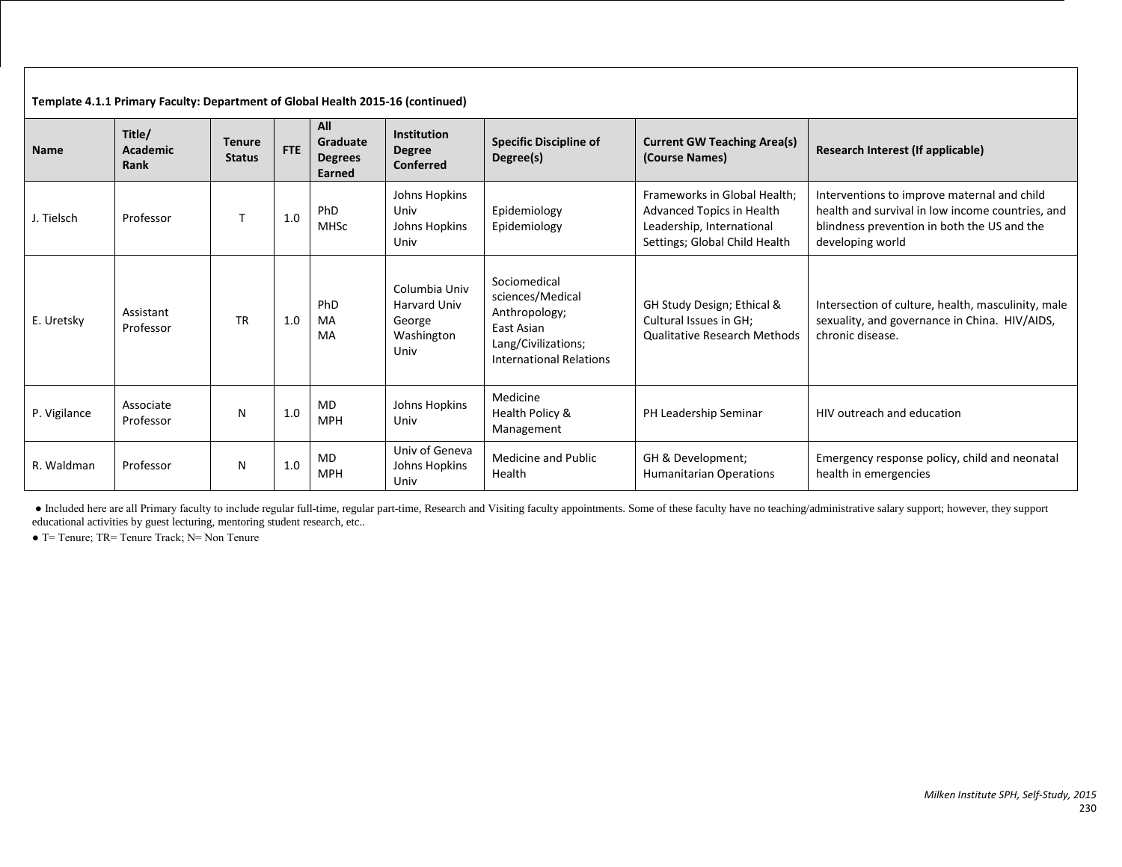| Template 4.1.1 Primary Faculty: Department of Global Health 2015-16 (continued) |                            |                                |            |                                             |                                                                      |                                                                                                                          |                                                                                                                         |                                                                                                                                                                    |  |  |
|---------------------------------------------------------------------------------|----------------------------|--------------------------------|------------|---------------------------------------------|----------------------------------------------------------------------|--------------------------------------------------------------------------------------------------------------------------|-------------------------------------------------------------------------------------------------------------------------|--------------------------------------------------------------------------------------------------------------------------------------------------------------------|--|--|
| <b>Name</b>                                                                     | Title/<br>Academic<br>Rank | <b>Tenure</b><br><b>Status</b> | <b>FTE</b> | All<br>Graduate<br><b>Degrees</b><br>Earned | <b>Institution</b><br><b>Degree</b><br>Conferred                     | <b>Specific Discipline of</b><br>Degree(s)                                                                               | <b>Current GW Teaching Area(s)</b><br>(Course Names)                                                                    | Research Interest (If applicable)                                                                                                                                  |  |  |
| J. Tielsch                                                                      | Professor                  |                                | 1.0        | PhD<br><b>MHSc</b>                          | Johns Hopkins<br>Univ<br>Johns Hopkins<br>Univ                       | Epidemiology<br>Epidemiology                                                                                             | Frameworks in Global Health:<br>Advanced Topics in Health<br>Leadership, International<br>Settings; Global Child Health | Interventions to improve maternal and child<br>health and survival in low income countries, and<br>blindness prevention in both the US and the<br>developing world |  |  |
| E. Uretsky                                                                      | Assistant<br>Professor     | <b>TR</b>                      | 1.0        | PhD<br>MA<br>MA                             | Columbia Univ<br><b>Harvard Univ</b><br>George<br>Washington<br>Univ | Sociomedical<br>sciences/Medical<br>Anthropology;<br>East Asian<br>Lang/Civilizations;<br><b>International Relations</b> | GH Study Design; Ethical &<br>Cultural Issues in GH;<br><b>Qualitative Research Methods</b>                             | Intersection of culture, health, masculinity, male<br>sexuality, and governance in China. HIV/AIDS,<br>chronic disease.                                            |  |  |
| P. Vigilance                                                                    | Associate<br>Professor     | N                              | 1.0        | <b>MD</b><br><b>MPH</b>                     | Johns Hopkins<br>Univ                                                | Medicine<br>Health Policy &<br>Management                                                                                | PH Leadership Seminar                                                                                                   | HIV outreach and education                                                                                                                                         |  |  |
| R. Waldman                                                                      | Professor                  | N                              | 1.0        | <b>MD</b><br><b>MPH</b>                     | Univ of Geneva<br>Johns Hopkins<br>Univ                              | Medicine and Public<br>Health                                                                                            | GH & Development;<br><b>Humanitarian Operations</b>                                                                     | Emergency response policy, child and neonatal<br>health in emergencies                                                                                             |  |  |

● Included here are all Primary faculty to include regular full-time, regular part-time, Research and Visiting faculty appointments. Some of these faculty have no teaching/administrative salary support; however, they support educational activities by guest lecturing, mentoring student research, etc..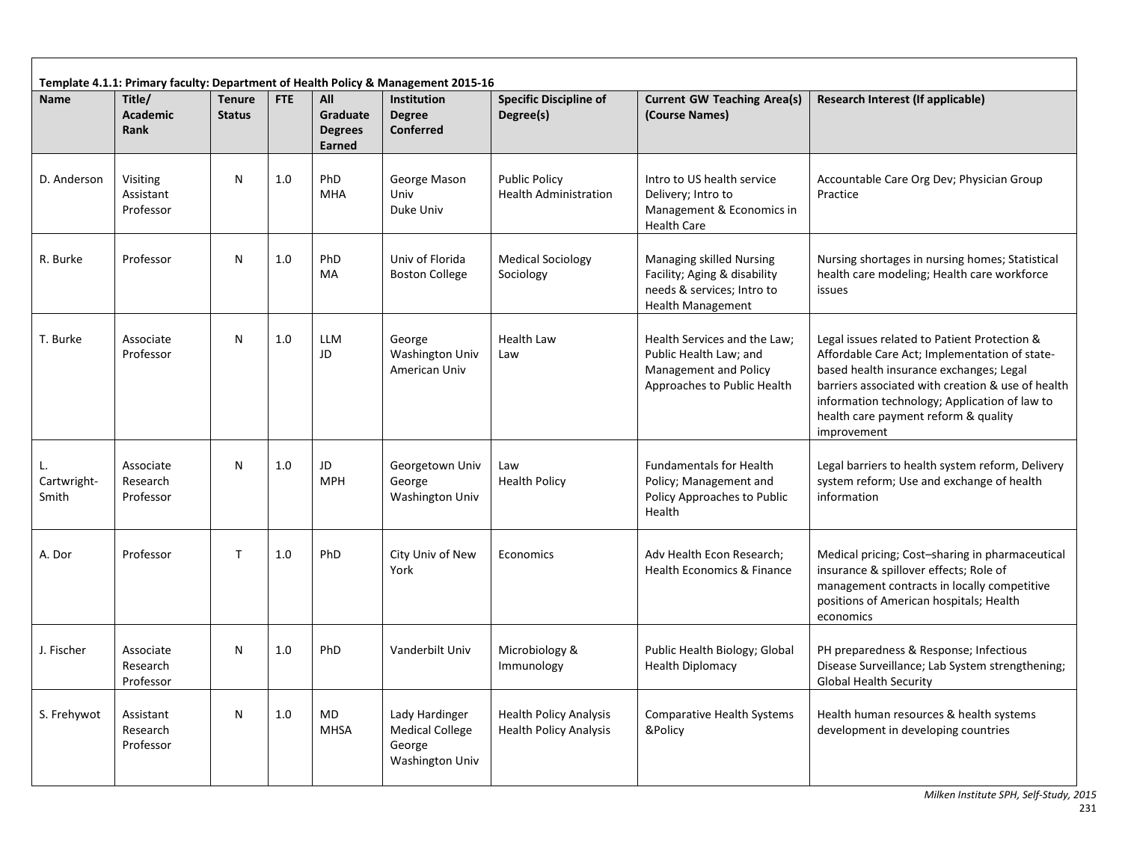| Template 4.1.1: Primary faculty: Department of Health Policy & Management 2015-16 |                                    |                                |     |                                             |                                                                              |                                                                |                                                                                                                           |                                                                                                                                                                                                                                                                                                       |  |  |  |
|-----------------------------------------------------------------------------------|------------------------------------|--------------------------------|-----|---------------------------------------------|------------------------------------------------------------------------------|----------------------------------------------------------------|---------------------------------------------------------------------------------------------------------------------------|-------------------------------------------------------------------------------------------------------------------------------------------------------------------------------------------------------------------------------------------------------------------------------------------------------|--|--|--|
| <b>Name</b>                                                                       | Title/<br><b>Academic</b><br>Rank  | <b>Tenure</b><br><b>Status</b> | FTE | All<br>Graduate<br><b>Degrees</b><br>Earned | <b>Institution</b><br><b>Degree</b><br><b>Conferred</b>                      | <b>Specific Discipline of</b><br>Degree(s)                     | <b>Current GW Teaching Area(s)</b><br>(Course Names)                                                                      | Research Interest (If applicable)                                                                                                                                                                                                                                                                     |  |  |  |
| D. Anderson                                                                       | Visiting<br>Assistant<br>Professor | N                              | 1.0 | PhD<br>MHA                                  | George Mason<br>Univ<br>Duke Univ                                            | <b>Public Policy</b><br><b>Health Administration</b>           | Intro to US health service<br>Delivery; Intro to<br>Management & Economics in<br><b>Health Care</b>                       | Accountable Care Org Dev; Physician Group<br>Practice                                                                                                                                                                                                                                                 |  |  |  |
| R. Burke                                                                          | Professor                          | N                              | 1.0 | PhD<br>MA                                   | Univ of Florida<br><b>Boston College</b>                                     | <b>Medical Sociology</b><br>Sociology                          | <b>Managing skilled Nursing</b><br>Facility; Aging & disability<br>needs & services; Intro to<br><b>Health Management</b> | Nursing shortages in nursing homes; Statistical<br>health care modeling; Health care workforce<br>issues                                                                                                                                                                                              |  |  |  |
| T. Burke                                                                          | Associate<br>Professor             | N                              | 1.0 | LLM<br>JD                                   | George<br><b>Washington Univ</b><br>American Univ                            | <b>Health Law</b><br>Law                                       | Health Services and the Law;<br>Public Health Law; and<br><b>Management and Policy</b><br>Approaches to Public Health     | Legal issues related to Patient Protection &<br>Affordable Care Act; Implementation of state-<br>based health insurance exchanges; Legal<br>barriers associated with creation & use of health<br>information technology; Application of law to<br>health care payment reform & quality<br>improvement |  |  |  |
| Cartwright-<br>Smith                                                              | Associate<br>Research<br>Professor | N                              | 1.0 | JD<br><b>MPH</b>                            | Georgetown Univ<br>George<br>Washington Univ                                 | Law<br><b>Health Policy</b>                                    | <b>Fundamentals for Health</b><br>Policy; Management and<br>Policy Approaches to Public<br>Health                         | Legal barriers to health system reform, Delivery<br>system reform; Use and exchange of health<br>information                                                                                                                                                                                          |  |  |  |
| A. Dor                                                                            | Professor                          | $\mathsf{T}$                   | 1.0 | PhD                                         | City Univ of New<br>York                                                     | Economics                                                      | Adv Health Econ Research;<br>Health Economics & Finance                                                                   | Medical pricing; Cost-sharing in pharmaceutical<br>insurance & spillover effects; Role of<br>management contracts in locally competitive<br>positions of American hospitals; Health<br>economics                                                                                                      |  |  |  |
| J. Fischer                                                                        | Associate<br>Research<br>Professor | N                              | 1.0 | PhD                                         | Vanderbilt Univ                                                              | Microbiology &<br>Immunology                                   | Public Health Biology; Global<br><b>Health Diplomacy</b>                                                                  | PH preparedness & Response; Infectious<br>Disease Surveillance; Lab System strengthening;<br><b>Global Health Security</b>                                                                                                                                                                            |  |  |  |
| S. Frehywot                                                                       | Assistant<br>Research<br>Professor | N                              | 1.0 | MD<br><b>MHSA</b>                           | Lady Hardinger<br><b>Medical College</b><br>George<br><b>Washington Univ</b> | <b>Health Policy Analysis</b><br><b>Health Policy Analysis</b> | <b>Comparative Health Systems</b><br>&Policy                                                                              | Health human resources & health systems<br>development in developing countries                                                                                                                                                                                                                        |  |  |  |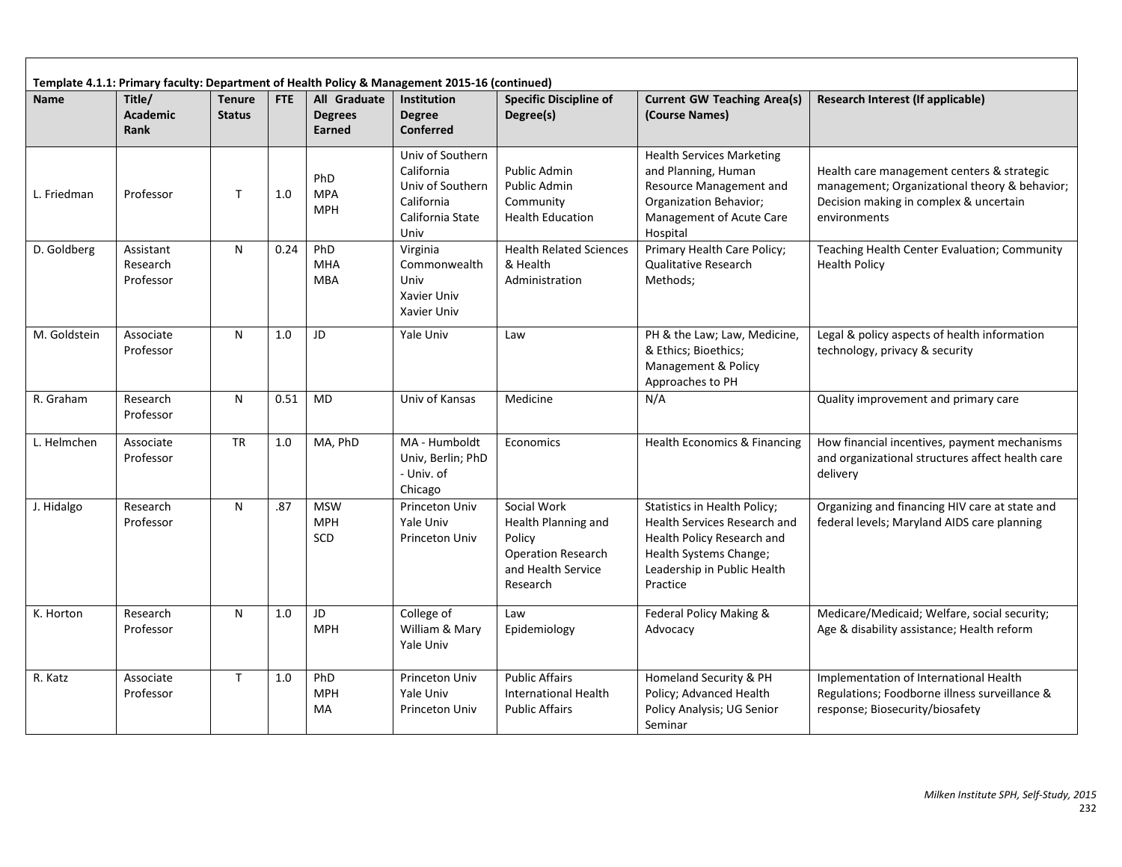|              | Template 4.1.1: Primary faculty: Department of Health Policy & Management 2015-16 (continued) |                                |      |                                          |                                                                                              |                                                                                                             |                                                                                                                                                                 |                                                                                                                                                       |  |  |  |  |
|--------------|-----------------------------------------------------------------------------------------------|--------------------------------|------|------------------------------------------|----------------------------------------------------------------------------------------------|-------------------------------------------------------------------------------------------------------------|-----------------------------------------------------------------------------------------------------------------------------------------------------------------|-------------------------------------------------------------------------------------------------------------------------------------------------------|--|--|--|--|
| <b>Name</b>  | Title/<br><b>Academic</b><br>Rank                                                             | <b>Tenure</b><br><b>Status</b> | FTE  | All Graduate<br><b>Degrees</b><br>Earned | <b>Institution</b><br><b>Degree</b><br><b>Conferred</b>                                      | <b>Specific Discipline of</b><br>Degree(s)                                                                  | <b>Current GW Teaching Area(s)</b><br>(Course Names)                                                                                                            | Research Interest (If applicable)                                                                                                                     |  |  |  |  |
| L. Friedman  | Professor                                                                                     | $\mathsf{T}$                   | 1.0  | PhD<br><b>MPA</b><br><b>MPH</b>          | Univ of Southern<br>California<br>Univ of Southern<br>California<br>California State<br>Univ | Public Admin<br>Public Admin<br>Community<br><b>Health Education</b>                                        | <b>Health Services Marketing</b><br>and Planning, Human<br>Resource Management and<br><b>Organization Behavior;</b><br>Management of Acute Care<br>Hospital     | Health care management centers & strategic<br>management; Organizational theory & behavior;<br>Decision making in complex & uncertain<br>environments |  |  |  |  |
| D. Goldberg  | Assistant<br>Research<br>Professor                                                            | N                              | 0.24 | PhD<br><b>MHA</b><br><b>MBA</b>          | Virginia<br>Commonwealth<br>Univ<br>Xavier Univ<br>Xavier Univ                               | <b>Health Related Sciences</b><br>& Health<br>Administration                                                | Primary Health Care Policy;<br>Qualitative Research<br>Methods;                                                                                                 | Teaching Health Center Evaluation; Community<br><b>Health Policy</b>                                                                                  |  |  |  |  |
| M. Goldstein | Associate<br>Professor                                                                        | N                              | 1.0  | JD                                       | Yale Univ                                                                                    | Law                                                                                                         | PH & the Law; Law, Medicine,<br>& Ethics; Bioethics;<br>Management & Policy<br>Approaches to PH                                                                 | Legal & policy aspects of health information<br>technology, privacy & security                                                                        |  |  |  |  |
| R. Graham    | Research<br>Professor                                                                         | N                              | 0.51 | <b>MD</b>                                | Univ of Kansas                                                                               | Medicine                                                                                                    | N/A                                                                                                                                                             | Quality improvement and primary care                                                                                                                  |  |  |  |  |
| L. Helmchen  | Associate<br>Professor                                                                        | <b>TR</b>                      | 1.0  | MA, PhD                                  | MA - Humboldt<br>Univ, Berlin; PhD<br>- Univ. of<br>Chicago                                  | Economics                                                                                                   | Health Economics & Financing                                                                                                                                    | How financial incentives, payment mechanisms<br>and organizational structures affect health care<br>delivery                                          |  |  |  |  |
| J. Hidalgo   | Research<br>Professor                                                                         | N                              | .87  | <b>MSW</b><br><b>MPH</b><br>SCD          | Princeton Univ<br>Yale Univ<br><b>Princeton Univ</b>                                         | Social Work<br>Health Planning and<br>Policy<br><b>Operation Research</b><br>and Health Service<br>Research | Statistics in Health Policy;<br>Health Services Research and<br>Health Policy Research and<br>Health Systems Change;<br>Leadership in Public Health<br>Practice | Organizing and financing HIV care at state and<br>federal levels; Maryland AIDS care planning                                                         |  |  |  |  |
| K. Horton    | Research<br>Professor                                                                         | N                              | 1.0  | JD<br><b>MPH</b>                         | College of<br>William & Mary<br>Yale Univ                                                    | Law<br>Epidemiology                                                                                         | Federal Policy Making &<br>Advocacy                                                                                                                             | Medicare/Medicaid; Welfare, social security;<br>Age & disability assistance; Health reform                                                            |  |  |  |  |
| R. Katz      | Associate<br>Professor                                                                        | $\mathsf{T}$                   | 1.0  | PhD<br><b>MPH</b><br>MA                  | Princeton Univ<br>Yale Univ<br>Princeton Univ                                                | <b>Public Affairs</b><br><b>International Health</b><br><b>Public Affairs</b>                               | Homeland Security & PH<br>Policy; Advanced Health<br>Policy Analysis; UG Senior<br>Seminar                                                                      | Implementation of International Health<br>Regulations; Foodborne illness surveillance &<br>response; Biosecurity/biosafety                            |  |  |  |  |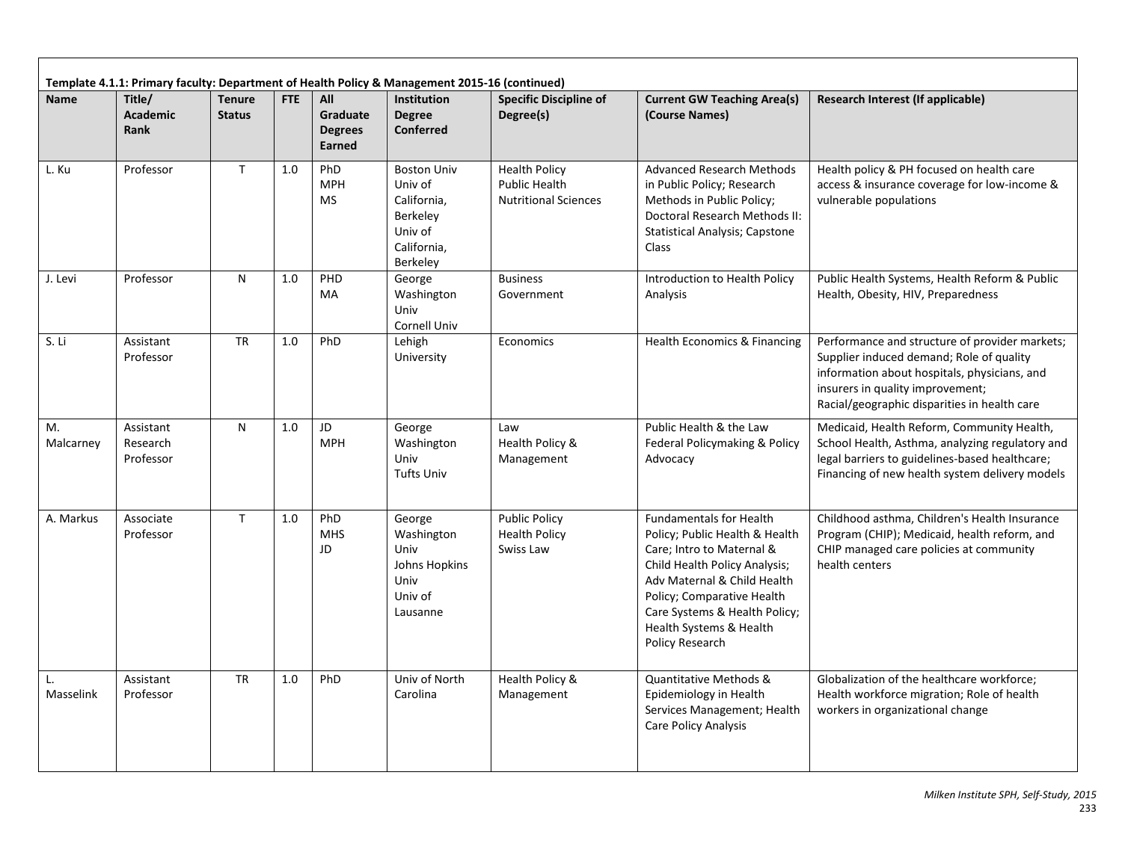|                 |                                    |                                |     |                                             | Template 4.1.1: Primary faculty: Department of Health Policy & Management 2015-16 (continued)  |                                                                             |                                                                                                                                                                                                                                                                            |                                                                                                                                                                                                                                |
|-----------------|------------------------------------|--------------------------------|-----|---------------------------------------------|------------------------------------------------------------------------------------------------|-----------------------------------------------------------------------------|----------------------------------------------------------------------------------------------------------------------------------------------------------------------------------------------------------------------------------------------------------------------------|--------------------------------------------------------------------------------------------------------------------------------------------------------------------------------------------------------------------------------|
| <b>Name</b>     | Title/<br><b>Academic</b><br>Rank  | <b>Tenure</b><br><b>Status</b> | FTE | All<br>Graduate<br><b>Degrees</b><br>Earned | <b>Institution</b><br><b>Degree</b><br><b>Conferred</b>                                        | <b>Specific Discipline of</b><br>Degree(s)                                  | <b>Current GW Teaching Area(s)</b><br>(Course Names)                                                                                                                                                                                                                       | Research Interest (If applicable)                                                                                                                                                                                              |
| L. Ku           | Professor                          | T                              | 1.0 | PhD<br><b>MPH</b><br><b>MS</b>              | <b>Boston Univ</b><br>Univ of<br>California,<br>Berkeley<br>Univ of<br>California,<br>Berkeley | <b>Health Policy</b><br><b>Public Health</b><br><b>Nutritional Sciences</b> | <b>Advanced Research Methods</b><br>in Public Policy; Research<br>Methods in Public Policy;<br>Doctoral Research Methods II:<br><b>Statistical Analysis; Capstone</b><br>Class                                                                                             | Health policy & PH focused on health care<br>access & insurance coverage for low-income &<br>vulnerable populations                                                                                                            |
| J. Levi         | Professor                          | N                              | 1.0 | PHD<br>MA                                   | George<br>Washington<br>Univ<br>Cornell Univ                                                   | <b>Business</b><br>Government                                               | Introduction to Health Policy<br>Analysis                                                                                                                                                                                                                                  | Public Health Systems, Health Reform & Public<br>Health, Obesity, HIV, Preparedness                                                                                                                                            |
| S. Li           | Assistant<br>Professor             | <b>TR</b>                      | 1.0 | PhD                                         | Lehigh<br>University                                                                           | Economics                                                                   | Health Economics & Financing                                                                                                                                                                                                                                               | Performance and structure of provider markets;<br>Supplier induced demand; Role of quality<br>information about hospitals, physicians, and<br>insurers in quality improvement;<br>Racial/geographic disparities in health care |
| Μ.<br>Malcarney | Assistant<br>Research<br>Professor | N                              | 1.0 | JD.<br><b>MPH</b>                           | George<br>Washington<br>Univ<br><b>Tufts Univ</b>                                              | Law<br>Health Policy &<br>Management                                        | Public Health & the Law<br>Federal Policymaking & Policy<br>Advocacy                                                                                                                                                                                                       | Medicaid, Health Reform, Community Health,<br>School Health, Asthma, analyzing regulatory and<br>legal barriers to guidelines-based healthcare;<br>Financing of new health system delivery models                              |
| A. Markus       | Associate<br>Professor             | $\mathsf{T}$                   | 1.0 | PhD<br><b>MHS</b><br>JD                     | George<br>Washington<br>Univ<br>Johns Hopkins<br>Univ<br>Univ of<br>Lausanne                   | <b>Public Policy</b><br><b>Health Policy</b><br>Swiss Law                   | <b>Fundamentals for Health</b><br>Policy; Public Health & Health<br>Care; Intro to Maternal &<br>Child Health Policy Analysis;<br>Adv Maternal & Child Health<br>Policy; Comparative Health<br>Care Systems & Health Policy;<br>Health Systems & Health<br>Policy Research | Childhood asthma, Children's Health Insurance<br>Program (CHIP); Medicaid, health reform, and<br>CHIP managed care policies at community<br>health centers                                                                     |
| L.<br>Masselink | Assistant<br>Professor             | <b>TR</b>                      | 1.0 | PhD                                         | Univ of North<br>Carolina                                                                      | Health Policy &<br>Management                                               | Quantitative Methods &<br>Epidemiology in Health<br>Services Management; Health<br>Care Policy Analysis                                                                                                                                                                    | Globalization of the healthcare workforce;<br>Health workforce migration; Role of health<br>workers in organizational change                                                                                                   |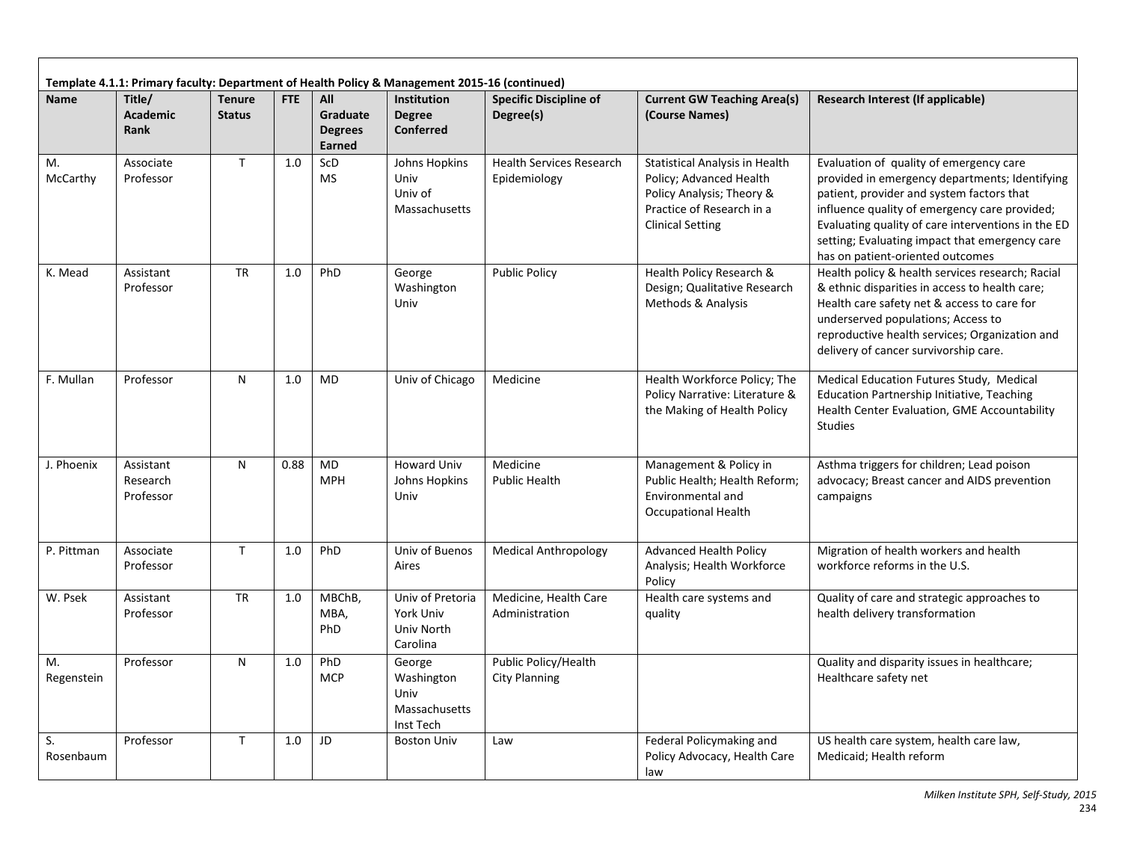|                  |                                    |                                |      |                                             | Template 4.1.1: Primary faculty: Department of Health Policy & Management 2015-16 (continued) |                                                 |                                                                                                                                                       |                                                                                                                                                                                                                                                                                                                                     |
|------------------|------------------------------------|--------------------------------|------|---------------------------------------------|-----------------------------------------------------------------------------------------------|-------------------------------------------------|-------------------------------------------------------------------------------------------------------------------------------------------------------|-------------------------------------------------------------------------------------------------------------------------------------------------------------------------------------------------------------------------------------------------------------------------------------------------------------------------------------|
| <b>Name</b>      | Title/<br><b>Academic</b><br>Rank  | <b>Tenure</b><br><b>Status</b> | FTE  | All<br>Graduate<br><b>Degrees</b><br>Earned | <b>Institution</b><br><b>Degree</b><br><b>Conferred</b>                                       | <b>Specific Discipline of</b><br>Degree(s)      | <b>Current GW Teaching Area(s)</b><br>(Course Names)                                                                                                  | <b>Research Interest (If applicable)</b>                                                                                                                                                                                                                                                                                            |
| М.<br>McCarthy   | Associate<br>Professor             | $\mathsf{T}$                   | 1.0  | ScD<br><b>MS</b>                            | Johns Hopkins<br>Univ<br>Univ of<br>Massachusetts                                             | <b>Health Services Research</b><br>Epidemiology | <b>Statistical Analysis in Health</b><br>Policy; Advanced Health<br>Policy Analysis; Theory &<br>Practice of Research in a<br><b>Clinical Setting</b> | Evaluation of quality of emergency care<br>provided in emergency departments; Identifying<br>patient, provider and system factors that<br>influence quality of emergency care provided;<br>Evaluating quality of care interventions in the ED<br>setting; Evaluating impact that emergency care<br>has on patient-oriented outcomes |
| K. Mead          | Assistant<br>Professor             | <b>TR</b>                      | 1.0  | PhD                                         | George<br>Washington<br>Univ                                                                  | <b>Public Policy</b>                            | Health Policy Research &<br>Design; Qualitative Research<br>Methods & Analysis                                                                        | Health policy & health services research; Racial<br>& ethnic disparities in access to health care;<br>Health care safety net & access to care for<br>underserved populations; Access to<br>reproductive health services; Organization and<br>delivery of cancer survivorship care.                                                  |
| F. Mullan        | Professor                          | N                              | 1.0  | <b>MD</b>                                   | Univ of Chicago                                                                               | Medicine                                        | Health Workforce Policy; The<br>Policy Narrative: Literature &<br>the Making of Health Policy                                                         | Medical Education Futures Study, Medical<br>Education Partnership Initiative, Teaching<br>Health Center Evaluation, GME Accountability<br><b>Studies</b>                                                                                                                                                                            |
| J. Phoenix       | Assistant<br>Research<br>Professor | N                              | 0.88 | <b>MD</b><br><b>MPH</b>                     | <b>Howard Univ</b><br>Johns Hopkins<br>Univ                                                   | Medicine<br><b>Public Health</b>                | Management & Policy in<br>Public Health; Health Reform;<br>Environmental and<br><b>Occupational Health</b>                                            | Asthma triggers for children; Lead poison<br>advocacy; Breast cancer and AIDS prevention<br>campaigns                                                                                                                                                                                                                               |
| P. Pittman       | Associate<br>Professor             | $\mathsf{T}$                   | 1.0  | PhD                                         | Univ of Buenos<br>Aires                                                                       | Medical Anthropology                            | <b>Advanced Health Policy</b><br>Analysis; Health Workforce<br>Policy                                                                                 | Migration of health workers and health<br>workforce reforms in the U.S.                                                                                                                                                                                                                                                             |
| W. Psek          | Assistant<br>Professor             | <b>TR</b>                      | 1.0  | MBChB,<br>MBA,<br>PhD                       | Univ of Pretoria<br>York Univ<br>Univ North<br>Carolina                                       | Medicine, Health Care<br>Administration         | Health care systems and<br>quality                                                                                                                    | Quality of care and strategic approaches to<br>health delivery transformation                                                                                                                                                                                                                                                       |
| M.<br>Regenstein | Professor                          | $\mathsf{N}$                   | 1.0  | PhD<br><b>MCP</b>                           | George<br>Washington<br>Univ<br>Massachusetts<br>Inst Tech                                    | Public Policy/Health<br><b>City Planning</b>    |                                                                                                                                                       | Quality and disparity issues in healthcare;<br>Healthcare safety net                                                                                                                                                                                                                                                                |
| S.<br>Rosenbaum  | Professor                          | $\mathsf{T}$                   | 1.0  | JD                                          | <b>Boston Univ</b>                                                                            | Law                                             | Federal Policymaking and<br>Policy Advocacy, Health Care<br>law                                                                                       | US health care system, health care law,<br>Medicaid; Health reform                                                                                                                                                                                                                                                                  |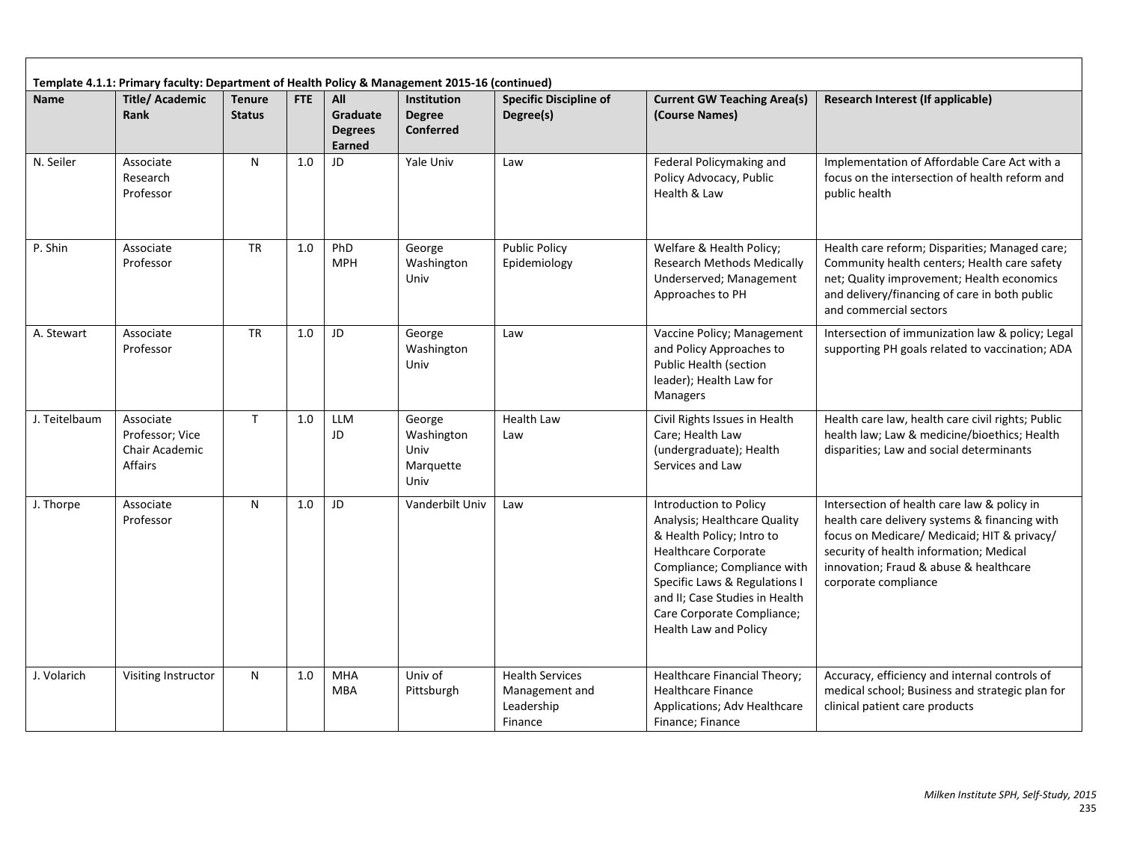|               | Template 4.1.1: Primary faculty: Department of Health Policy & Management 2015-16 (continued)                                                                                                                                         |           |                                                      |                                   |                                                   |                                                                   |                                                                                                                                                                                                                                                                             |                                                                                                                                                                                                                                                          |
|---------------|---------------------------------------------------------------------------------------------------------------------------------------------------------------------------------------------------------------------------------------|-----------|------------------------------------------------------|-----------------------------------|---------------------------------------------------|-------------------------------------------------------------------|-----------------------------------------------------------------------------------------------------------------------------------------------------------------------------------------------------------------------------------------------------------------------------|----------------------------------------------------------------------------------------------------------------------------------------------------------------------------------------------------------------------------------------------------------|
| <b>Name</b>   | <b>Title/Academic</b><br>FTE<br>All<br><b>Institution</b><br><b>Specific Discipline of</b><br><b>Tenure</b><br>Graduate<br><b>Rank</b><br><b>Status</b><br><b>Degree</b><br>Degree(s)<br><b>Conferred</b><br><b>Degrees</b><br>Earned |           | <b>Current GW Teaching Area(s)</b><br>(Course Names) | Research Interest (If applicable) |                                                   |                                                                   |                                                                                                                                                                                                                                                                             |                                                                                                                                                                                                                                                          |
| N. Seiler     | Associate<br>Research<br>Professor                                                                                                                                                                                                    | ${\sf N}$ | 1.0                                                  | JD                                | Yale Univ                                         | Law                                                               | Federal Policymaking and<br>Policy Advocacy, Public<br>Health & Law                                                                                                                                                                                                         | Implementation of Affordable Care Act with a<br>focus on the intersection of health reform and<br>public health                                                                                                                                          |
| P. Shin       | Associate<br>Professor                                                                                                                                                                                                                | <b>TR</b> | 1.0                                                  | PhD<br><b>MPH</b>                 | George<br>Washington<br>Univ                      | <b>Public Policy</b><br>Epidemiology                              | Welfare & Health Policy;<br><b>Research Methods Medically</b><br>Underserved; Management<br>Approaches to PH                                                                                                                                                                | Health care reform; Disparities; Managed care;<br>Community health centers; Health care safety<br>net; Quality improvement; Health economics<br>and delivery/financing of care in both public<br>and commercial sectors                                  |
| A. Stewart    | Associate<br>Professor                                                                                                                                                                                                                | <b>TR</b> | 1.0                                                  | JD                                | George<br>Washington<br>Univ                      | Law                                                               | Vaccine Policy; Management<br>and Policy Approaches to<br>Public Health (section<br>leader); Health Law for<br>Managers                                                                                                                                                     | Intersection of immunization law & policy; Legal<br>supporting PH goals related to vaccination; ADA                                                                                                                                                      |
| J. Teitelbaum | Associate<br>Professor; Vice<br>Chair Academic<br>Affairs                                                                                                                                                                             | T.        | 1.0                                                  | <b>LLM</b><br>JD                  | George<br>Washington<br>Univ<br>Marquette<br>Univ | <b>Health Law</b><br>Law                                          | Civil Rights Issues in Health<br>Care; Health Law<br>(undergraduate); Health<br>Services and Law                                                                                                                                                                            | Health care law, health care civil rights; Public<br>health law; Law & medicine/bioethics; Health<br>disparities; Law and social determinants                                                                                                            |
| J. Thorpe     | Associate<br>Professor                                                                                                                                                                                                                | N         | 1.0                                                  | JD                                | Vanderbilt Univ                                   | Law                                                               | Introduction to Policy<br>Analysis; Healthcare Quality<br>& Health Policy; Intro to<br><b>Healthcare Corporate</b><br>Compliance; Compliance with<br>Specific Laws & Regulations I<br>and II; Case Studies in Health<br>Care Corporate Compliance;<br>Health Law and Policy | Intersection of health care law & policy in<br>health care delivery systems & financing with<br>focus on Medicare/ Medicaid; HIT & privacy/<br>security of health information; Medical<br>innovation; Fraud & abuse & healthcare<br>corporate compliance |
| J. Volarich   | Visiting Instructor                                                                                                                                                                                                                   | N         | 1.0                                                  | <b>MHA</b><br><b>MBA</b>          | Univ of<br>Pittsburgh                             | <b>Health Services</b><br>Management and<br>Leadership<br>Finance | Healthcare Financial Theory;<br><b>Healthcare Finance</b><br>Applications; Adv Healthcare<br>Finance; Finance                                                                                                                                                               | Accuracy, efficiency and internal controls of<br>medical school; Business and strategic plan for<br>clinical patient care products                                                                                                                       |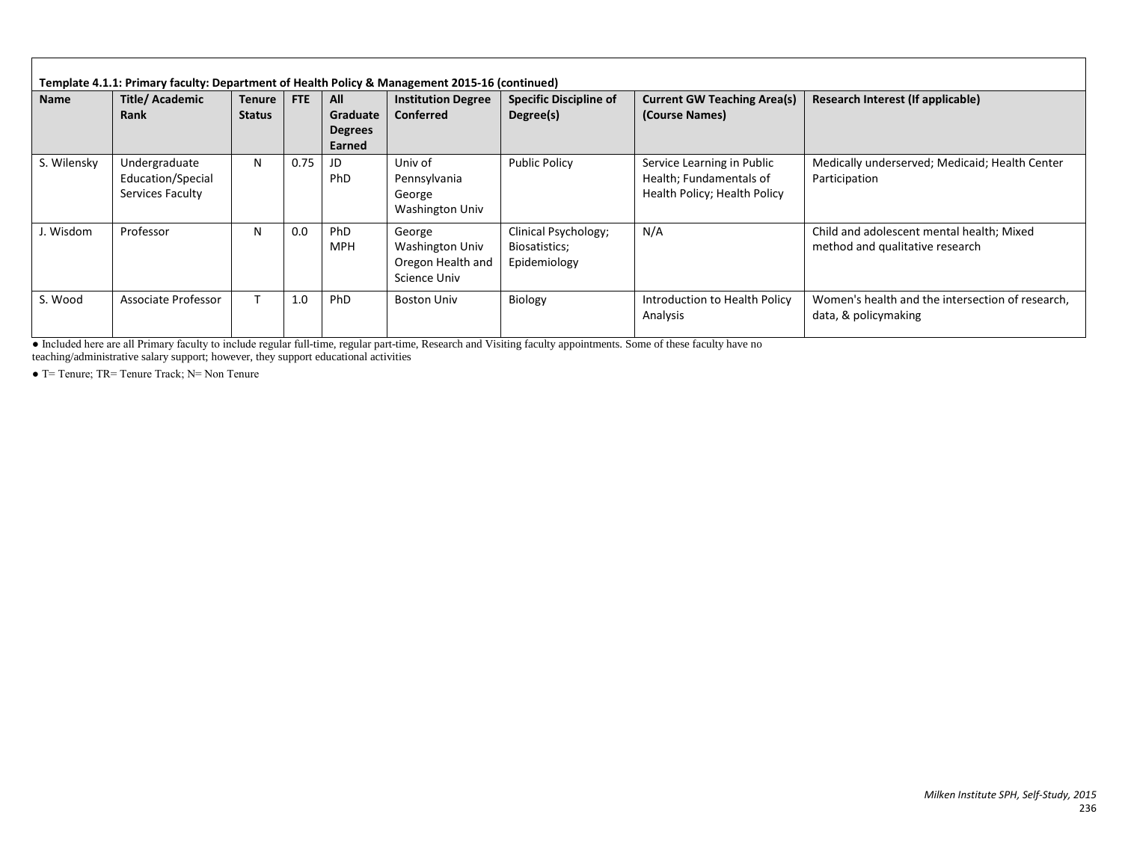| <b>Name</b> | <b>Title/Academic</b><br><b>Rank</b>                   | Tenure  <br><b>Status</b> | <b>FTE</b> | All<br>Graduate<br><b>Degrees</b><br>Earned | <b>Institution Degree</b><br><b>Conferred</b>                  | <b>Specific Discipline of</b><br>Degree(s)            | <b>Current GW Teaching Area(s)</b><br>(Course Names)                                  | Research Interest (If applicable)                                            |
|-------------|--------------------------------------------------------|---------------------------|------------|---------------------------------------------|----------------------------------------------------------------|-------------------------------------------------------|---------------------------------------------------------------------------------------|------------------------------------------------------------------------------|
| S. Wilensky | Undergraduate<br>Education/Special<br>Services Faculty | N                         | 0.75       | JD<br>PhD                                   | Univ of<br>Pennsylvania<br>George<br><b>Washington Univ</b>    | <b>Public Policy</b>                                  | Service Learning in Public<br>Health; Fundamentals of<br>Health Policy; Health Policy | Medically underserved; Medicaid; Health Center<br>Participation              |
| J. Wisdom   | Professor                                              | N                         | 0.0        | PhD<br><b>MPH</b>                           | George<br>Washington Univ<br>Oregon Health and<br>Science Univ | Clinical Psychology;<br>Biosatistics;<br>Epidemiology | N/A                                                                                   | Child and adolescent mental health; Mixed<br>method and qualitative research |
| S. Wood     | Associate Professor                                    | т                         | 1.0        | PhD                                         | <b>Boston Univ</b>                                             | Biology                                               | Introduction to Health Policy<br>Analysis                                             | Women's health and the intersection of research.<br>data, & policymaking     |

● Included here are all Primary faculty to include regular full-time, regular part-time, Research and Visiting faculty appointments. Some of these faculty have no

teaching/administrative salary support; however, they support educational activities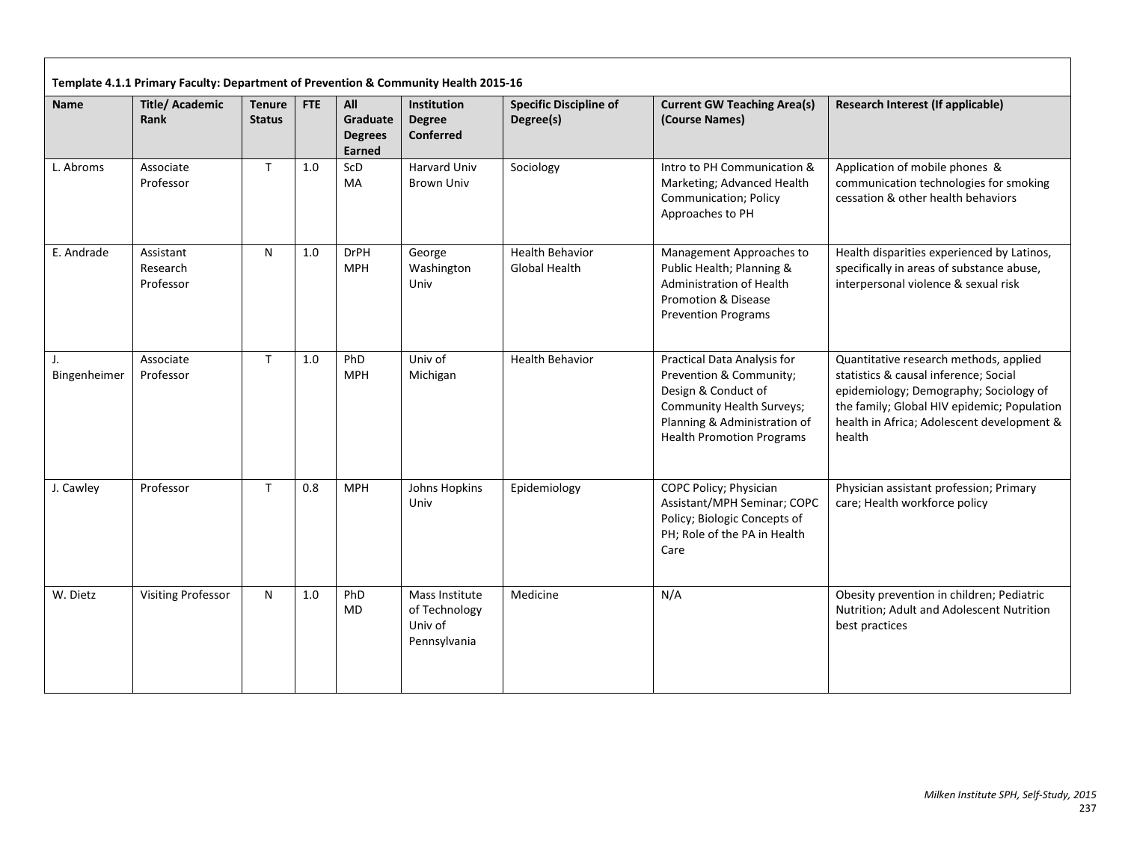| <b>Name</b>        | <b>Title/Academic</b><br>Rank      | <b>Tenure</b><br><b>Status</b> | FTE | All<br>Graduate<br><b>Degrees</b><br>Earned | <b>Institution</b><br><b>Degree</b><br><b>Conferred</b>    | <b>Specific Discipline of</b><br>Degree(s) | <b>Current GW Teaching Area(s)</b><br>(Course Names)                                                                                                                           | Research Interest (If applicable)                                                                                                                                                                                                |
|--------------------|------------------------------------|--------------------------------|-----|---------------------------------------------|------------------------------------------------------------|--------------------------------------------|--------------------------------------------------------------------------------------------------------------------------------------------------------------------------------|----------------------------------------------------------------------------------------------------------------------------------------------------------------------------------------------------------------------------------|
| L. Abroms          | Associate<br>Professor             | T                              | 1.0 | ScD<br><b>MA</b>                            | Harvard Univ<br><b>Brown Univ</b>                          | Sociology                                  | Intro to PH Communication &<br>Marketing; Advanced Health<br><b>Communication; Policy</b><br>Approaches to PH                                                                  | Application of mobile phones &<br>communication technologies for smoking<br>cessation & other health behaviors                                                                                                                   |
| E. Andrade         | Assistant<br>Research<br>Professor | N                              | 1.0 | <b>DrPH</b><br><b>MPH</b>                   | George<br>Washington<br>Univ                               | <b>Health Behavior</b><br>Global Health    | Management Approaches to<br>Public Health; Planning &<br><b>Administration of Health</b><br><b>Promotion &amp; Disease</b><br><b>Prevention Programs</b>                       | Health disparities experienced by Latinos,<br>specifically in areas of substance abuse,<br>interpersonal violence & sexual risk                                                                                                  |
| J.<br>Bingenheimer | Associate<br>Professor             | $\mathsf{T}$                   | 1.0 | PhD<br><b>MPH</b>                           | Univ of<br>Michigan                                        | <b>Health Behavior</b>                     | Practical Data Analysis for<br>Prevention & Community;<br>Design & Conduct of<br>Community Health Surveys;<br>Planning & Administration of<br><b>Health Promotion Programs</b> | Quantitative research methods, applied<br>statistics & causal inference; Social<br>epidemiology; Demography; Sociology of<br>the family; Global HIV epidemic; Population<br>health in Africa; Adolescent development &<br>health |
| J. Cawley          | Professor                          | $\mathsf{T}$                   | 0.8 | <b>MPH</b>                                  | Johns Hopkins<br>Univ                                      | Epidemiology                               | COPC Policy; Physician<br>Assistant/MPH Seminar; COPC<br>Policy; Biologic Concepts of<br>PH; Role of the PA in Health<br>Care                                                  | Physician assistant profession; Primary<br>care; Health workforce policy                                                                                                                                                         |
| W. Dietz           | <b>Visiting Professor</b>          | N                              | 1.0 | PhD<br><b>MD</b>                            | Mass Institute<br>of Technology<br>Univ of<br>Pennsylvania | Medicine                                   | N/A                                                                                                                                                                            | Obesity prevention in children; Pediatric<br>Nutrition; Adult and Adolescent Nutrition<br>best practices                                                                                                                         |

ா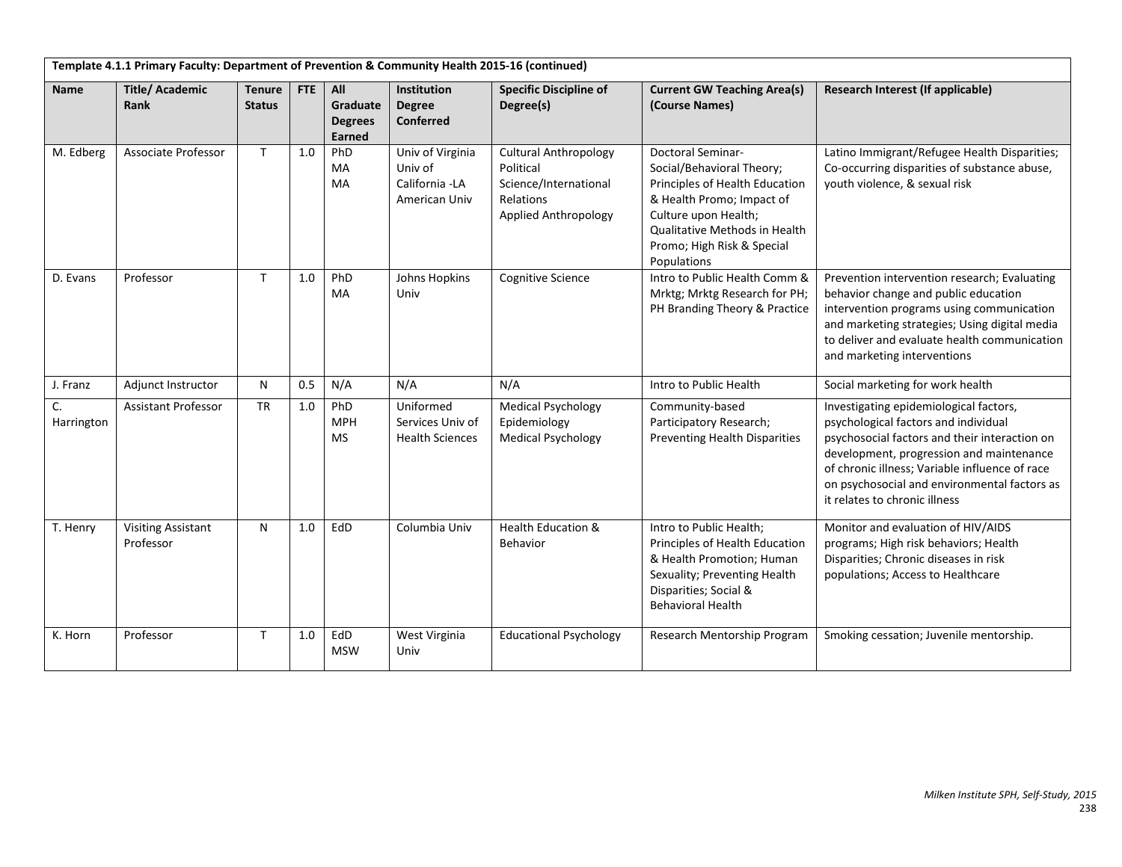|                  | Template 4.1.1 Primary Faculty: Department of Prevention & Community Health 2015-16 (continued) |                                |     |                                             |                                                                |                                                                                                         |                                                                                                                                                                                                                            |                                                                                                                                                                                                                                                                                                                |
|------------------|-------------------------------------------------------------------------------------------------|--------------------------------|-----|---------------------------------------------|----------------------------------------------------------------|---------------------------------------------------------------------------------------------------------|----------------------------------------------------------------------------------------------------------------------------------------------------------------------------------------------------------------------------|----------------------------------------------------------------------------------------------------------------------------------------------------------------------------------------------------------------------------------------------------------------------------------------------------------------|
| <b>Name</b>      | <b>Title/Academic</b><br>Rank                                                                   | <b>Tenure</b><br><b>Status</b> | FTE | All<br>Graduate<br><b>Degrees</b><br>Earned | <b>Institution</b><br><b>Degree</b><br>Conferred               | <b>Specific Discipline of</b><br>Degree(s)                                                              | <b>Current GW Teaching Area(s)</b><br>(Course Names)                                                                                                                                                                       | Research Interest (If applicable)                                                                                                                                                                                                                                                                              |
| M. Edberg        | Associate Professor                                                                             | $\mathsf{T}$                   | 1.0 | PhD<br>MA<br>MA                             | Univ of Virginia<br>Univ of<br>California -LA<br>American Univ | <b>Cultural Anthropology</b><br>Political<br>Science/International<br>Relations<br>Applied Anthropology | <b>Doctoral Seminar-</b><br>Social/Behavioral Theory;<br>Principles of Health Education<br>& Health Promo; Impact of<br>Culture upon Health;<br>Qualitative Methods in Health<br>Promo; High Risk & Special<br>Populations | Latino Immigrant/Refugee Health Disparities;<br>Co-occurring disparities of substance abuse,<br>youth violence, & sexual risk                                                                                                                                                                                  |
| D. Evans         | Professor                                                                                       | $\mathsf{T}$                   | 1.0 | PhD<br>MA                                   | Johns Hopkins<br>Univ                                          | <b>Cognitive Science</b>                                                                                | Intro to Public Health Comm &<br>Mrktg; Mrktg Research for PH;<br>PH Branding Theory & Practice                                                                                                                            | Prevention intervention research; Evaluating<br>behavior change and public education<br>intervention programs using communication<br>and marketing strategies; Using digital media<br>to deliver and evaluate health communication<br>and marketing interventions                                              |
| J. Franz         | Adjunct Instructor                                                                              | N                              | 0.5 | N/A                                         | N/A                                                            | N/A                                                                                                     | Intro to Public Health                                                                                                                                                                                                     | Social marketing for work health                                                                                                                                                                                                                                                                               |
| C.<br>Harrington | <b>Assistant Professor</b>                                                                      | <b>TR</b>                      | 1.0 | PhD<br><b>MPH</b><br><b>MS</b>              | Uniformed<br>Services Univ of<br><b>Health Sciences</b>        | <b>Medical Psychology</b><br>Epidemiology<br><b>Medical Psychology</b>                                  | Community-based<br>Participatory Research;<br><b>Preventing Health Disparities</b>                                                                                                                                         | Investigating epidemiological factors,<br>psychological factors and individual<br>psychosocial factors and their interaction on<br>development, progression and maintenance<br>of chronic illness; Variable influence of race<br>on psychosocial and environmental factors as<br>it relates to chronic illness |
| T. Henry         | <b>Visiting Assistant</b><br>Professor                                                          | N                              | 1.0 | EdD                                         | Columbia Univ                                                  | <b>Health Education &amp;</b><br>Behavior                                                               | Intro to Public Health;<br>Principles of Health Education<br>& Health Promotion; Human<br>Sexuality; Preventing Health<br>Disparities; Social &<br><b>Behavioral Health</b>                                                | Monitor and evaluation of HIV/AIDS<br>programs; High risk behaviors; Health<br>Disparities; Chronic diseases in risk<br>populations; Access to Healthcare                                                                                                                                                      |
| K. Horn          | Professor                                                                                       | T                              | 1.0 | EdD<br><b>MSW</b>                           | West Virginia<br>Univ                                          | <b>Educational Psychology</b>                                                                           | Research Mentorship Program                                                                                                                                                                                                | Smoking cessation; Juvenile mentorship.                                                                                                                                                                                                                                                                        |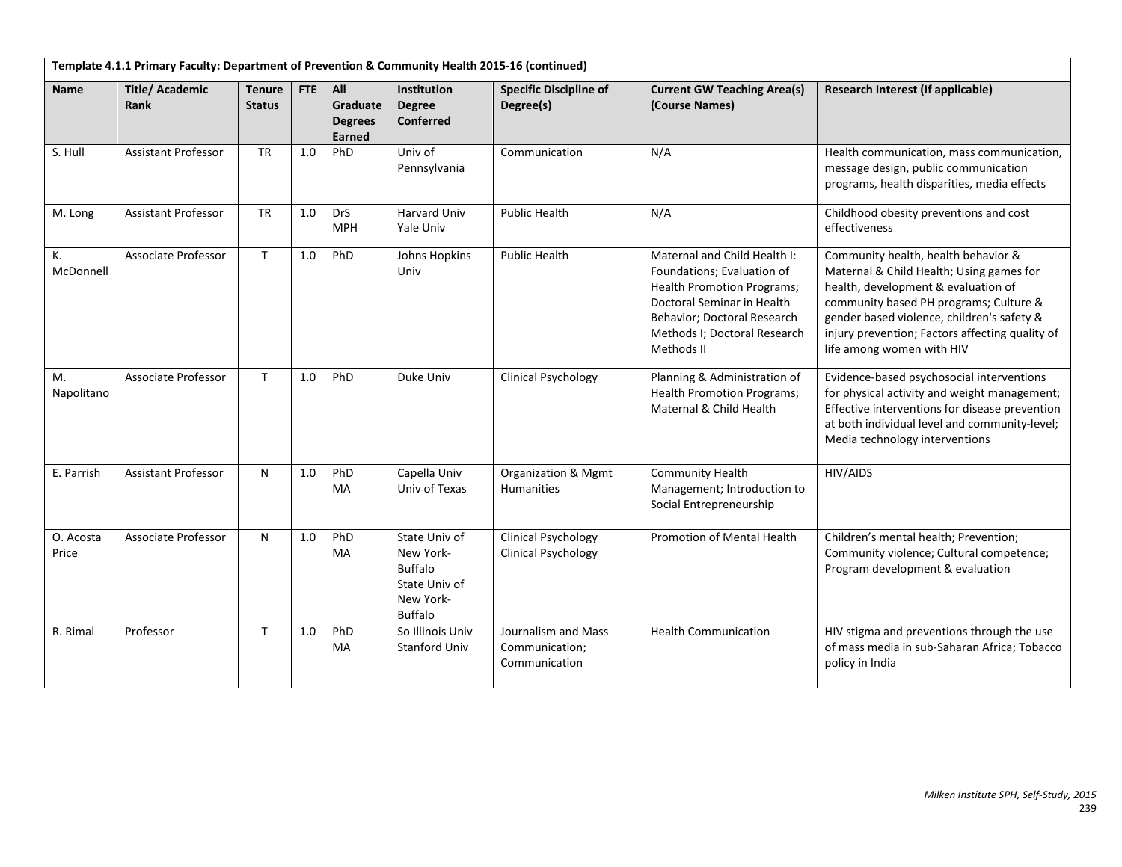|                    | Template 4.1.1 Primary Faculty: Department of Prevention & Community Health 2015-16 (continued) |                                |     |                                             |                                                                                              |                                                          |                                                                                                                                                                                                            |                                                                                                                                                                                                                                                                                                |
|--------------------|-------------------------------------------------------------------------------------------------|--------------------------------|-----|---------------------------------------------|----------------------------------------------------------------------------------------------|----------------------------------------------------------|------------------------------------------------------------------------------------------------------------------------------------------------------------------------------------------------------------|------------------------------------------------------------------------------------------------------------------------------------------------------------------------------------------------------------------------------------------------------------------------------------------------|
| <b>Name</b>        | <b>Title/Academic</b><br>Rank                                                                   | <b>Tenure</b><br><b>Status</b> | FTE | All<br>Graduate<br><b>Degrees</b><br>Earned | <b>Institution</b><br><b>Degree</b><br><b>Conferred</b>                                      | <b>Specific Discipline of</b><br>Degree(s)               | <b>Current GW Teaching Area(s)</b><br>(Course Names)                                                                                                                                                       | Research Interest (If applicable)                                                                                                                                                                                                                                                              |
| S. Hull            | <b>Assistant Professor</b>                                                                      | <b>TR</b>                      | 1.0 | PhD                                         | Univ of<br>Pennsylvania                                                                      | Communication                                            | N/A                                                                                                                                                                                                        | Health communication, mass communication,<br>message design, public communication<br>programs, health disparities, media effects                                                                                                                                                               |
| M. Long            | <b>Assistant Professor</b>                                                                      | <b>TR</b>                      | 1.0 | <b>DrS</b><br><b>MPH</b>                    | <b>Harvard Univ</b><br>Yale Univ                                                             | <b>Public Health</b>                                     | N/A                                                                                                                                                                                                        | Childhood obesity preventions and cost<br>effectiveness                                                                                                                                                                                                                                        |
| К.<br>McDonnell    | Associate Professor                                                                             | $\mathsf{T}$                   | 1.0 | PhD                                         | Johns Hopkins<br>Univ                                                                        | <b>Public Health</b>                                     | Maternal and Child Health I:<br>Foundations; Evaluation of<br><b>Health Promotion Programs;</b><br>Doctoral Seminar in Health<br>Behavior; Doctoral Research<br>Methods I; Doctoral Research<br>Methods II | Community health, health behavior &<br>Maternal & Child Health; Using games for<br>health, development & evaluation of<br>community based PH programs; Culture &<br>gender based violence, children's safety &<br>injury prevention; Factors affecting quality of<br>life among women with HIV |
| М.<br>Napolitano   | <b>Associate Professor</b>                                                                      | $\mathsf{T}$                   | 1.0 | PhD                                         | Duke Univ                                                                                    | <b>Clinical Psychology</b>                               | Planning & Administration of<br><b>Health Promotion Programs;</b><br>Maternal & Child Health                                                                                                               | Evidence-based psychosocial interventions<br>for physical activity and weight management;<br>Effective interventions for disease prevention<br>at both individual level and community-level;<br>Media technology interventions                                                                 |
| E. Parrish         | <b>Assistant Professor</b>                                                                      | N                              | 1.0 | PhD<br>MA                                   | Capella Univ<br>Univ of Texas                                                                | Organization & Mgmt<br><b>Humanities</b>                 | <b>Community Health</b><br>Management; Introduction to<br>Social Entrepreneurship                                                                                                                          | HIV/AIDS                                                                                                                                                                                                                                                                                       |
| O. Acosta<br>Price | <b>Associate Professor</b>                                                                      | N                              | 1.0 | PhD<br>MA                                   | State Univ of<br>New York-<br><b>Buffalo</b><br>State Univ of<br>New York-<br><b>Buffalo</b> | <b>Clinical Psychology</b><br><b>Clinical Psychology</b> | Promotion of Mental Health                                                                                                                                                                                 | Children's mental health; Prevention;<br>Community violence; Cultural competence;<br>Program development & evaluation                                                                                                                                                                          |
| R. Rimal           | Professor                                                                                       | T.                             | 1.0 | PhD<br>MA                                   | So Illinois Univ<br><b>Stanford Univ</b>                                                     | Journalism and Mass<br>Communication;<br>Communication   | <b>Health Communication</b>                                                                                                                                                                                | HIV stigma and preventions through the use<br>of mass media in sub-Saharan Africa; Tobacco<br>policy in India                                                                                                                                                                                  |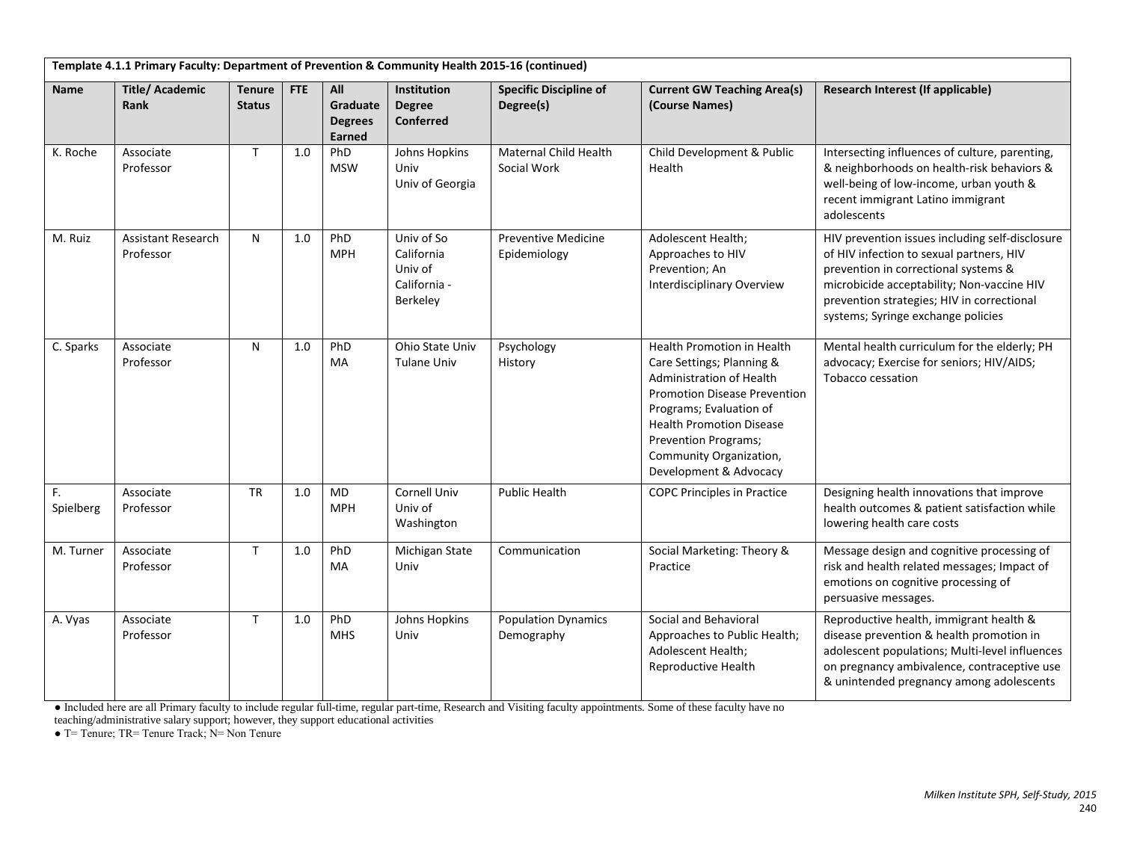|                 | Template 4.1.1 Primary Faculty: Department of Prevention & Community Health 2015-16 (continued) |                                |            |                                             |                                                                 |                                            |                                                                                                                                                                                                                                                                              |                                                                                                                                                                                                                                                                       |
|-----------------|-------------------------------------------------------------------------------------------------|--------------------------------|------------|---------------------------------------------|-----------------------------------------------------------------|--------------------------------------------|------------------------------------------------------------------------------------------------------------------------------------------------------------------------------------------------------------------------------------------------------------------------------|-----------------------------------------------------------------------------------------------------------------------------------------------------------------------------------------------------------------------------------------------------------------------|
| <b>Name</b>     | <b>Title/Academic</b><br>Rank                                                                   | <b>Tenure</b><br><b>Status</b> | <b>FTE</b> | All<br>Graduate<br><b>Degrees</b><br>Earned | <b>Institution</b><br><b>Degree</b><br><b>Conferred</b>         | <b>Specific Discipline of</b><br>Degree(s) | <b>Current GW Teaching Area(s)</b><br>(Course Names)                                                                                                                                                                                                                         | Research Interest (If applicable)                                                                                                                                                                                                                                     |
| K. Roche        | Associate<br>Professor                                                                          | T                              | 1.0        | PhD<br><b>MSW</b>                           | Johns Hopkins<br>Univ<br>Univ of Georgia                        | Maternal Child Health<br>Social Work       | Child Development & Public<br>Health                                                                                                                                                                                                                                         | Intersecting influences of culture, parenting,<br>& neighborhoods on health-risk behaviors &<br>well-being of low-income, urban youth &<br>recent immigrant Latino immigrant<br>adolescents                                                                           |
| M. Ruiz         | <b>Assistant Research</b><br>Professor                                                          | N                              | 1.0        | PhD<br><b>MPH</b>                           | Univ of So<br>California<br>Univ of<br>California -<br>Berkeley | <b>Preventive Medicine</b><br>Epidemiology | Adolescent Health;<br>Approaches to HIV<br>Prevention; An<br><b>Interdisciplinary Overview</b>                                                                                                                                                                               | HIV prevention issues including self-disclosure<br>of HIV infection to sexual partners, HIV<br>prevention in correctional systems &<br>microbicide acceptability; Non-vaccine HIV<br>prevention strategies; HIV in correctional<br>systems; Syringe exchange policies |
| C. Sparks       | Associate<br>Professor                                                                          | N                              | 1.0        | PhD<br>MA                                   | Ohio State Univ<br><b>Tulane Univ</b>                           | Psychology<br>History                      | Health Promotion in Health<br>Care Settings; Planning &<br><b>Administration of Health</b><br><b>Promotion Disease Prevention</b><br>Programs; Evaluation of<br><b>Health Promotion Disease</b><br>Prevention Programs;<br>Community Organization,<br>Development & Advocacy | Mental health curriculum for the elderly; PH<br>advocacy; Exercise for seniors; HIV/AIDS;<br>Tobacco cessation                                                                                                                                                        |
| F.<br>Spielberg | Associate<br>Professor                                                                          | <b>TR</b>                      | 1.0        | <b>MD</b><br><b>MPH</b>                     | Cornell Univ<br>Univ of<br>Washington                           | <b>Public Health</b>                       | <b>COPC Principles in Practice</b>                                                                                                                                                                                                                                           | Designing health innovations that improve<br>health outcomes & patient satisfaction while<br>lowering health care costs                                                                                                                                               |
| M. Turner       | Associate<br>Professor                                                                          | T                              | 1.0        | PhD<br>MA                                   | Michigan State<br>Univ                                          | Communication                              | Social Marketing: Theory &<br>Practice                                                                                                                                                                                                                                       | Message design and cognitive processing of<br>risk and health related messages; Impact of<br>emotions on cognitive processing of<br>persuasive messages.                                                                                                              |
| A. Vyas         | Associate<br>Professor                                                                          | $\mathsf{T}$                   | 1.0        | PhD<br><b>MHS</b>                           | Johns Hopkins<br>Univ                                           | <b>Population Dynamics</b><br>Demography   | Social and Behavioral<br>Approaches to Public Health;<br>Adolescent Health;<br>Reproductive Health                                                                                                                                                                           | Reproductive health, immigrant health &<br>disease prevention & health promotion in<br>adolescent populations; Multi-level influences<br>on pregnancy ambivalence, contraceptive use<br>& unintended pregnancy among adolescents                                      |

● Included here are all Primary faculty to include regular full-time, regular part-time, Research and Visiting faculty appointments. Some of these faculty have no

teaching/administrative salary support; however, they support educational activities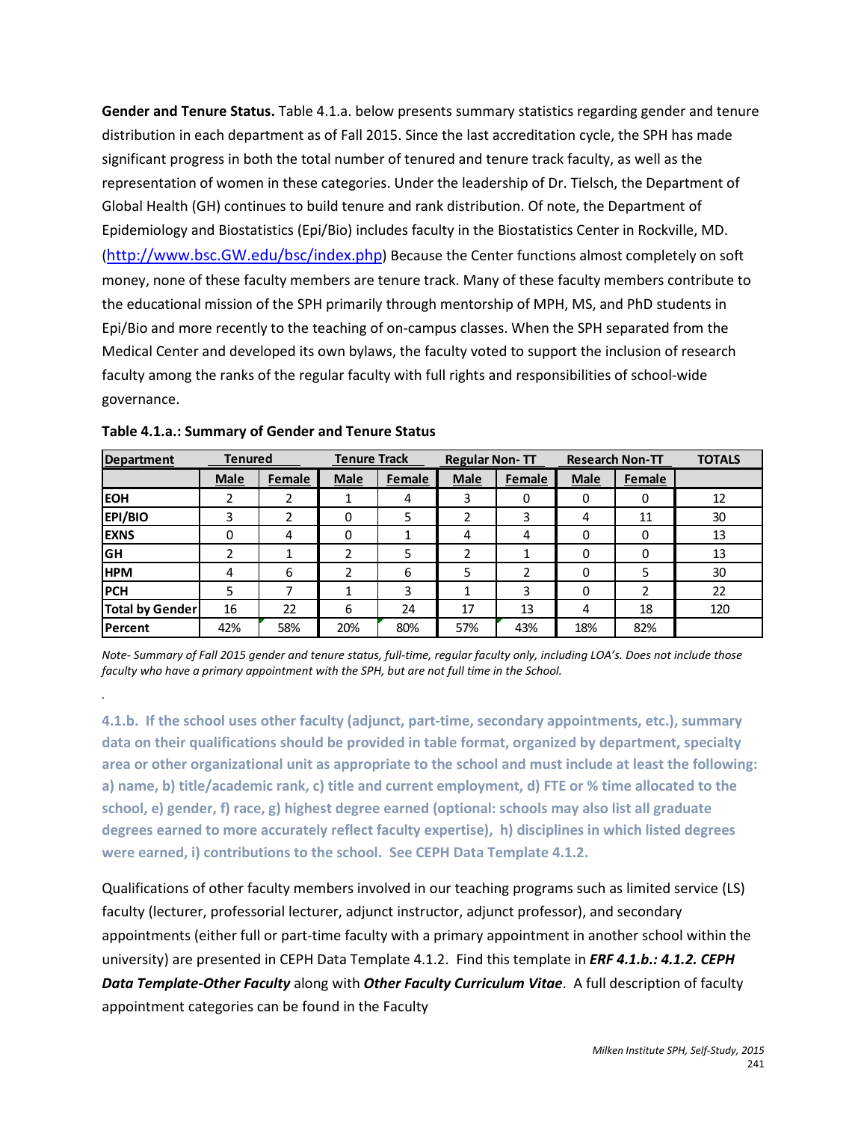**Gender and Tenure Status.** Table 4.1.a. below presents summary statistics regarding gender and tenure distribution in each department as of Fall 2015. Since the last accreditation cycle, the SPH has made significant progress in both the total number of tenured and tenure track faculty, as well as the representation of women in these categories. Under the leadership of Dr. Tielsch, the Department of Global Health (GH) continues to build tenure and rank distribution. Of note, the Department of Epidemiology and Biostatistics (Epi/Bio) includes faculty in the Biostatistics Center in Rockville, MD. [\(http://www.bsc.GW.edu/bsc/index.php\)](http://www.bsc.gwu.edu/bsc/index.php) Because the Center functions almost completely on soft money, none of these faculty members are tenure track. Many of these faculty members contribute to the educational mission of the SPH primarily through mentorship of MPH, MS, and PhD students in Epi/Bio and more recently to the teaching of on-campus classes. When the SPH separated from the Medical Center and developed its own bylaws, the faculty voted to support the inclusion of research faculty among the ranks of the regular faculty with full rights and responsibilities of school-wide governance.

| <b>Department</b>      | <b>Tenured</b> |        | <b>Tenure Track</b> |        | <b>Regular Non-TT</b> |        |             | <b>Research Non-TT</b> | <b>TOTALS</b> |
|------------------------|----------------|--------|---------------------|--------|-----------------------|--------|-------------|------------------------|---------------|
|                        | <b>Male</b>    | Female | Male                | Female | <b>Male</b>           | Female | <b>Male</b> | Female                 |               |
| <b>EOH</b>             |                |        |                     | 4      | 3                     | 0      |             |                        | 12            |
| <b>EPI/BIO</b>         | 3              | າ      |                     | 5      |                       | 3      | 4           | 11                     | 30            |
| <b>EXNS</b>            | 0              | 4      | 0                   |        | 4                     | 4      | 0           | 0                      | 13            |
| GH                     | ำ              |        |                     | 5      |                       |        | 0           | 0                      | 13            |
| <b>HPM</b>             | 4              | 6      |                     | 6      |                       | า      | 0           | 5                      | 30            |
| <b>PCH</b>             | 5              |        |                     | 3      |                       | 3      | O           |                        | 22            |
| <b>Total by Gender</b> | 16             | 22     | 6                   | 24     | 17                    | 13     | 4           | 18                     | 120           |
| Percent                | 42%            | 58%    | 20%                 | 80%    | 57%                   | 43%    | 18%         | 82%                    |               |

*.*

*Note- Summary of Fall 2015 gender and tenure status, full-time, regular faculty only, including LOA's. Does not include those faculty who have a primary appointment with the SPH, but are not full time in the School.* 

**4.1.b. If the school uses other faculty (adjunct, part-time, secondary appointments, etc.), summary data on their qualifications should be provided in table format, organized by department, specialty area or other organizational unit as appropriate to the school and must include at least the following: a) name, b) title/academic rank, c) title and current employment, d) FTE or % time allocated to the school, e) gender, f) race, g) highest degree earned (optional: schools may also list all graduate degrees earned to more accurately reflect faculty expertise), h) disciplines in which listed degrees were earned, i) contributions to the school. See CEPH Data Template 4.1.2.**

Qualifications of other faculty members involved in our teaching programs such as limited service (LS) faculty (lecturer, professorial lecturer, adjunct instructor, adjunct professor), and secondary appointments (either full or part-time faculty with a primary appointment in another school within the university) are presented in CEPH Data Template 4.1.2. Find this template in *ERF 4.1.b.: 4.1.2. CEPH Data Template-Other Faculty* along with *Other Faculty Curriculum Vitae*. A full description of faculty appointment categories can be found in the Faculty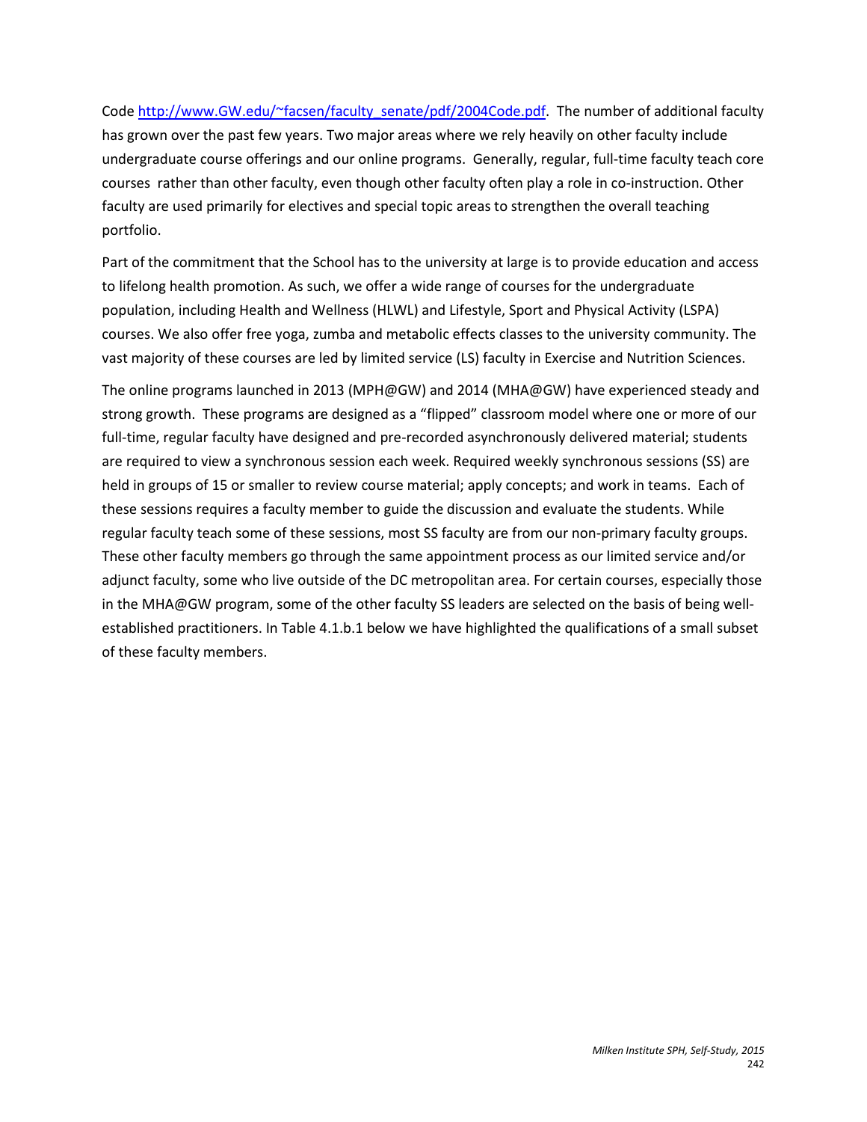Cod[e http://www.GW.edu/~facsen/faculty\\_senate/pdf/2004Code.pdf.](http://www.gwu.edu/%7Efacsen/faculty_senate/pdf/2004Code.pdf) The number of additional faculty has grown over the past few years. Two major areas where we rely heavily on other faculty include undergraduate course offerings and our online programs. Generally, regular, full-time faculty teach core courses rather than other faculty, even though other faculty often play a role in co-instruction. Other faculty are used primarily for electives and special topic areas to strengthen the overall teaching portfolio.

Part of the commitment that the School has to the university at large is to provide education and access to lifelong health promotion. As such, we offer a wide range of courses for the undergraduate population, including Health and Wellness (HLWL) and Lifestyle, Sport and Physical Activity (LSPA) courses. We also offer free yoga, zumba and metabolic effects classes to the university community. The vast majority of these courses are led by limited service (LS) faculty in Exercise and Nutrition Sciences.

The online programs launched in 2013 (MPH@GW) and 2014 (MHA@GW) have experienced steady and strong growth. These programs are designed as a "flipped" classroom model where one or more of our full-time, regular faculty have designed and pre-recorded asynchronously delivered material; students are required to view a synchronous session each week. Required weekly synchronous sessions (SS) are held in groups of 15 or smaller to review course material; apply concepts; and work in teams. Each of these sessions requires a faculty member to guide the discussion and evaluate the students. While regular faculty teach some of these sessions, most SS faculty are from our non-primary faculty groups. These other faculty members go through the same appointment process as our limited service and/or adjunct faculty, some who live outside of the DC metropolitan area. For certain courses, especially those in the MHA@GW program, some of the other faculty SS leaders are selected on the basis of being wellestablished practitioners. In Table 4.1.b.1 below we have highlighted the qualifications of a small subset of these faculty members.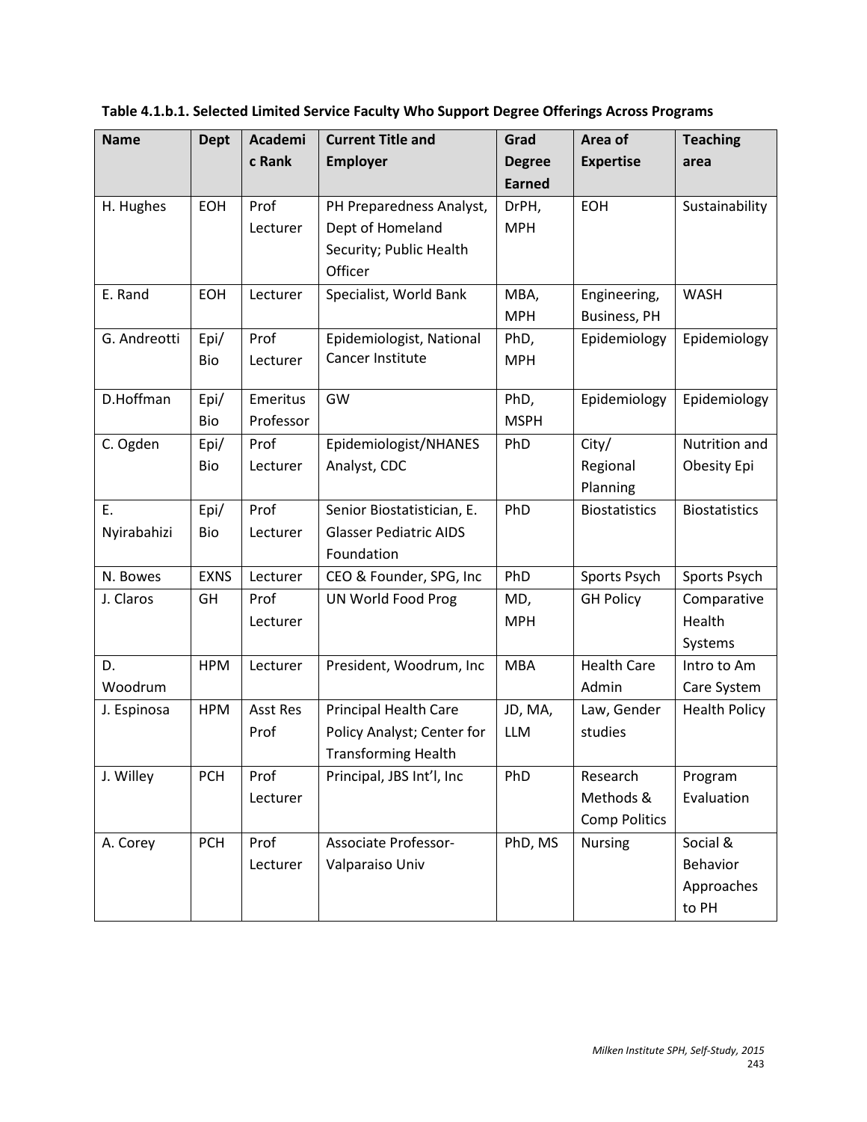| <b>Name</b>  | <b>Dept</b> | Academi         | <b>Current Title and</b>      | Grad          | Area of              | <b>Teaching</b>      |
|--------------|-------------|-----------------|-------------------------------|---------------|----------------------|----------------------|
|              |             | c Rank          | <b>Employer</b>               | <b>Degree</b> | <b>Expertise</b>     | area                 |
|              |             |                 |                               | <b>Earned</b> |                      |                      |
| H. Hughes    | EOH         | Prof            | PH Preparedness Analyst,      | DrPH,         | EOH                  | Sustainability       |
|              |             | Lecturer        | Dept of Homeland              | <b>MPH</b>    |                      |                      |
|              |             |                 | Security; Public Health       |               |                      |                      |
|              |             |                 | Officer                       |               |                      |                      |
| E. Rand      | <b>EOH</b>  | Lecturer        | Specialist, World Bank        | MBA,          | Engineering,         | <b>WASH</b>          |
|              |             |                 |                               | <b>MPH</b>    | <b>Business, PH</b>  |                      |
| G. Andreotti | Epi/        | Prof            | Epidemiologist, National      | PhD,          | Epidemiology         | Epidemiology         |
|              | Bio         | Lecturer        | Cancer Institute              | <b>MPH</b>    |                      |                      |
|              |             |                 |                               |               |                      |                      |
| D.Hoffman    | Epi/        | Emeritus        | GW                            | PhD,          | Epidemiology         | Epidemiology         |
|              | Bio         | Professor       |                               | <b>MSPH</b>   |                      |                      |
| C. Ogden     | Epi/        | Prof            | Epidemiologist/NHANES         | PhD           | City/                | Nutrition and        |
|              | Bio         | Lecturer        | Analyst, CDC                  |               | Regional             | Obesity Epi          |
|              |             |                 |                               |               | Planning             |                      |
| E.           | Epi/        | Prof            | Senior Biostatistician, E.    | PhD           | <b>Biostatistics</b> | <b>Biostatistics</b> |
| Nyirabahizi  | Bio         | Lecturer        | <b>Glasser Pediatric AIDS</b> |               |                      |                      |
|              |             |                 | Foundation                    |               |                      |                      |
| N. Bowes     | <b>EXNS</b> | Lecturer        | CEO & Founder, SPG, Inc       | PhD           | Sports Psych         | Sports Psych         |
| J. Claros    | GH          | Prof            | UN World Food Prog            | MD,           | <b>GH Policy</b>     | Comparative          |
|              |             | Lecturer        |                               | <b>MPH</b>    |                      | Health               |
|              |             |                 |                               |               |                      | Systems              |
| D.           | <b>HPM</b>  | Lecturer        | President, Woodrum, Inc       | <b>MBA</b>    | <b>Health Care</b>   | Intro to Am          |
| Woodrum      |             |                 |                               |               | Admin                | Care System          |
| J. Espinosa  | <b>HPM</b>  | <b>Asst Res</b> | <b>Principal Health Care</b>  | JD, MA,       | Law, Gender          | <b>Health Policy</b> |
|              |             | Prof            | Policy Analyst; Center for    | <b>LLM</b>    | studies              |                      |
|              |             |                 | <b>Transforming Health</b>    |               |                      |                      |
| J. Willey    | <b>PCH</b>  | Prof            | Principal, JBS Int'l, Inc     | PhD           | Research             | Program              |
|              |             | Lecturer        |                               |               | Methods &            | Evaluation           |
|              |             |                 |                               |               | <b>Comp Politics</b> |                      |
| A. Corey     | <b>PCH</b>  | Prof            | Associate Professor-          | PhD, MS       | <b>Nursing</b>       | Social &             |
|              |             | Lecturer        | Valparaiso Univ               |               |                      | Behavior             |
|              |             |                 |                               |               |                      | Approaches           |
|              |             |                 |                               |               |                      | to PH                |

**Table 4.1.b.1. Selected Limited Service Faculty Who Support Degree Offerings Across Programs**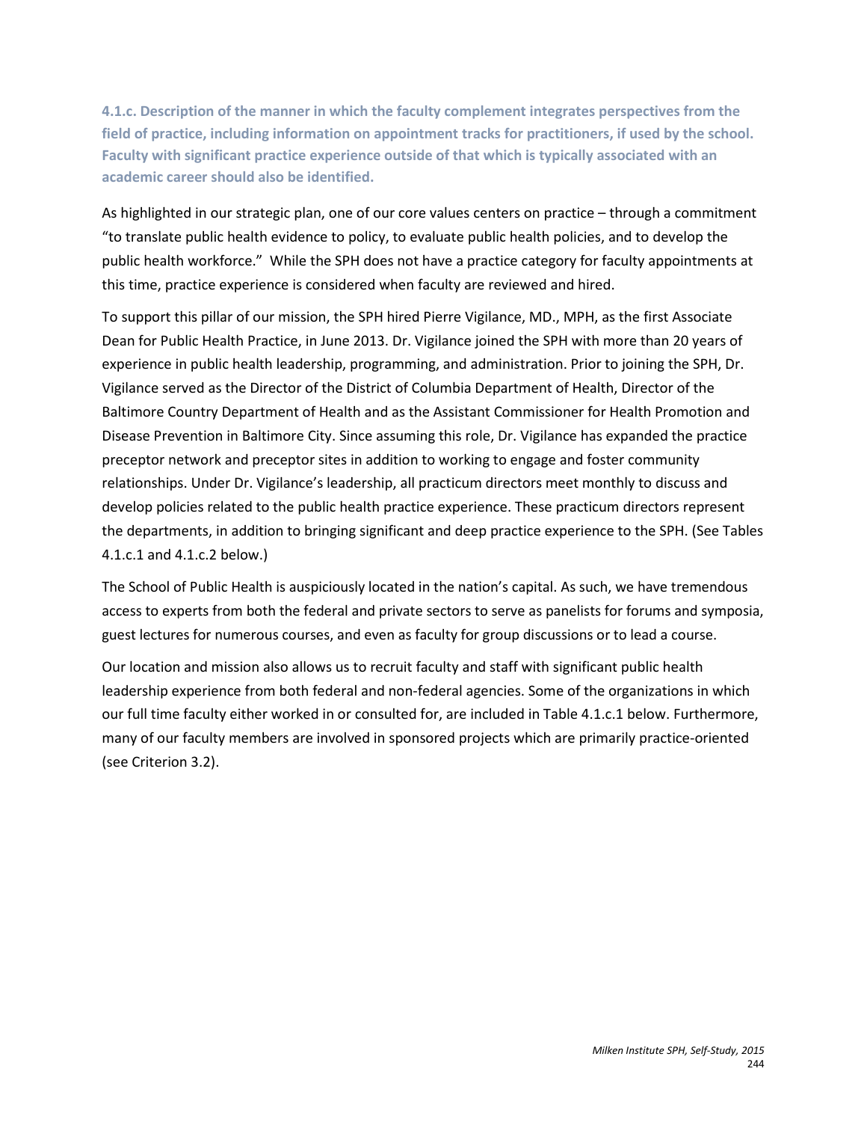**4.1.c. Description of the manner in which the faculty complement integrates perspectives from the field of practice, including information on appointment tracks for practitioners, if used by the school. Faculty with significant practice experience outside of that which is typically associated with an academic career should also be identified.**

As highlighted in our strategic plan, one of our core values centers on practice – through a commitment "to translate public health evidence to policy, to evaluate public health policies, and to develop the public health workforce." While the SPH does not have a practice category for faculty appointments at this time, practice experience is considered when faculty are reviewed and hired.

To support this pillar of our mission, the SPH hired Pierre Vigilance, MD., MPH, as the first Associate Dean for Public Health Practice, in June 2013. Dr. Vigilance joined the SPH with more than 20 years of experience in public health leadership, programming, and administration. Prior to joining the SPH, Dr. Vigilance served as the Director of the District of Columbia Department of Health, Director of the Baltimore Country Department of Health and as the Assistant Commissioner for Health Promotion and Disease Prevention in Baltimore City. Since assuming this role, Dr. Vigilance has expanded the practice preceptor network and preceptor sites in addition to working to engage and foster community relationships. Under Dr. Vigilance's leadership, all practicum directors meet monthly to discuss and develop policies related to the public health practice experience. These practicum directors represent the departments, in addition to bringing significant and deep practice experience to the SPH. (See Tables 4.1.c.1 and 4.1.c.2 below.)

The School of Public Health is auspiciously located in the nation's capital. As such, we have tremendous access to experts from both the federal and private sectors to serve as panelists for forums and symposia, guest lectures for numerous courses, and even as faculty for group discussions or to lead a course.

Our location and mission also allows us to recruit faculty and staff with significant public health leadership experience from both federal and non-federal agencies. Some of the organizations in which our full time faculty either worked in or consulted for, are included in Table 4.1.c.1 below. Furthermore, many of our faculty members are involved in sponsored projects which are primarily practice-oriented (see Criterion 3.2).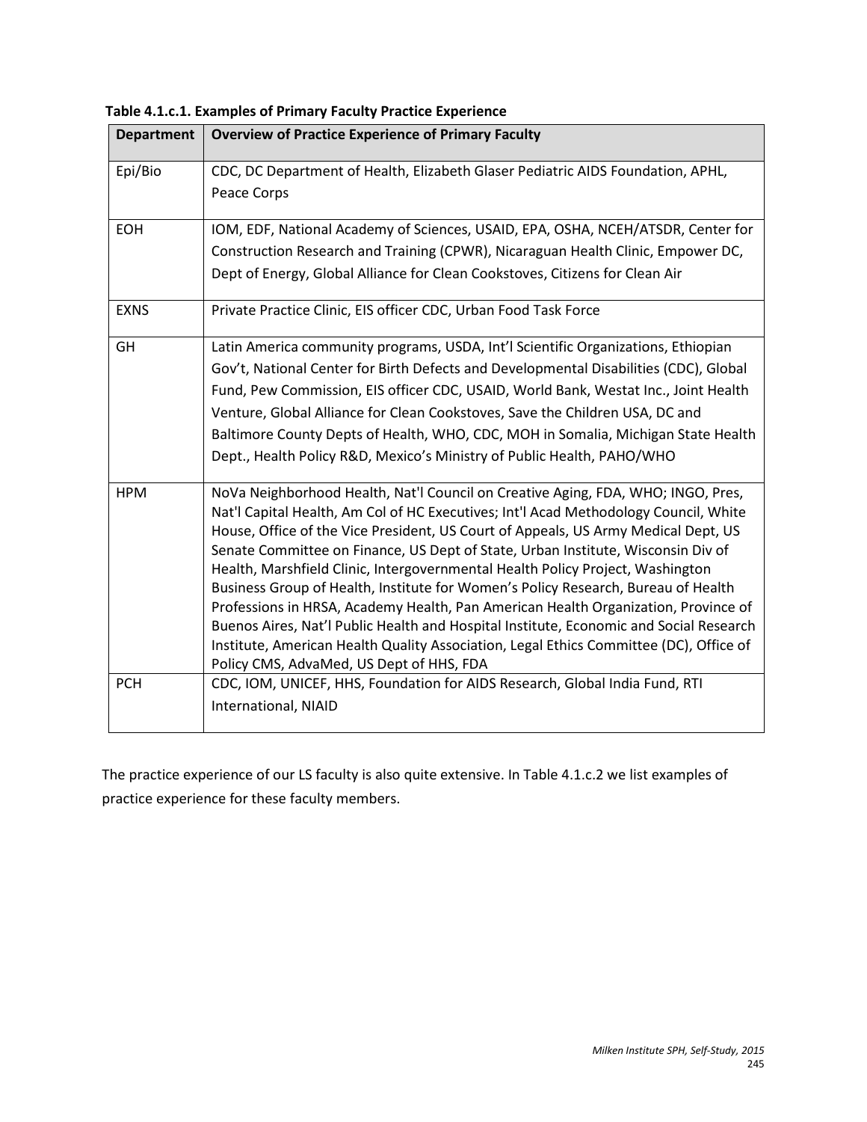| <b>Department</b> | <b>Overview of Practice Experience of Primary Faculty</b>                                                                                                                                                                                                                                                                                                                                                                                                                                                                                                                                                                                                                                                                                                                                                                                       |
|-------------------|-------------------------------------------------------------------------------------------------------------------------------------------------------------------------------------------------------------------------------------------------------------------------------------------------------------------------------------------------------------------------------------------------------------------------------------------------------------------------------------------------------------------------------------------------------------------------------------------------------------------------------------------------------------------------------------------------------------------------------------------------------------------------------------------------------------------------------------------------|
| Epi/Bio           | CDC, DC Department of Health, Elizabeth Glaser Pediatric AIDS Foundation, APHL,<br>Peace Corps                                                                                                                                                                                                                                                                                                                                                                                                                                                                                                                                                                                                                                                                                                                                                  |
| <b>EOH</b>        | IOM, EDF, National Academy of Sciences, USAID, EPA, OSHA, NCEH/ATSDR, Center for<br>Construction Research and Training (CPWR), Nicaraguan Health Clinic, Empower DC,<br>Dept of Energy, Global Alliance for Clean Cookstoves, Citizens for Clean Air                                                                                                                                                                                                                                                                                                                                                                                                                                                                                                                                                                                            |
| <b>EXNS</b>       | Private Practice Clinic, EIS officer CDC, Urban Food Task Force                                                                                                                                                                                                                                                                                                                                                                                                                                                                                                                                                                                                                                                                                                                                                                                 |
| GH                | Latin America community programs, USDA, Int'l Scientific Organizations, Ethiopian<br>Gov't, National Center for Birth Defects and Developmental Disabilities (CDC), Global<br>Fund, Pew Commission, EIS officer CDC, USAID, World Bank, Westat Inc., Joint Health<br>Venture, Global Alliance for Clean Cookstoves, Save the Children USA, DC and<br>Baltimore County Depts of Health, WHO, CDC, MOH in Somalia, Michigan State Health<br>Dept., Health Policy R&D, Mexico's Ministry of Public Health, PAHO/WHO                                                                                                                                                                                                                                                                                                                                |
| <b>HPM</b>        | NoVa Neighborhood Health, Nat'l Council on Creative Aging, FDA, WHO; INGO, Pres,<br>Nat'l Capital Health, Am Col of HC Executives; Int'l Acad Methodology Council, White<br>House, Office of the Vice President, US Court of Appeals, US Army Medical Dept, US<br>Senate Committee on Finance, US Dept of State, Urban Institute, Wisconsin Div of<br>Health, Marshfield Clinic, Intergovernmental Health Policy Project, Washington<br>Business Group of Health, Institute for Women's Policy Research, Bureau of Health<br>Professions in HRSA, Academy Health, Pan American Health Organization, Province of<br>Buenos Aires, Nat'l Public Health and Hospital Institute, Economic and Social Research<br>Institute, American Health Quality Association, Legal Ethics Committee (DC), Office of<br>Policy CMS, AdvaMed, US Dept of HHS, FDA |
| <b>PCH</b>        | CDC, IOM, UNICEF, HHS, Foundation for AIDS Research, Global India Fund, RTI<br>International, NIAID                                                                                                                                                                                                                                                                                                                                                                                                                                                                                                                                                                                                                                                                                                                                             |

**Table 4.1.c.1. Examples of Primary Faculty Practice Experience**

The practice experience of our LS faculty is also quite extensive. In Table 4.1.c.2 we list examples of practice experience for these faculty members.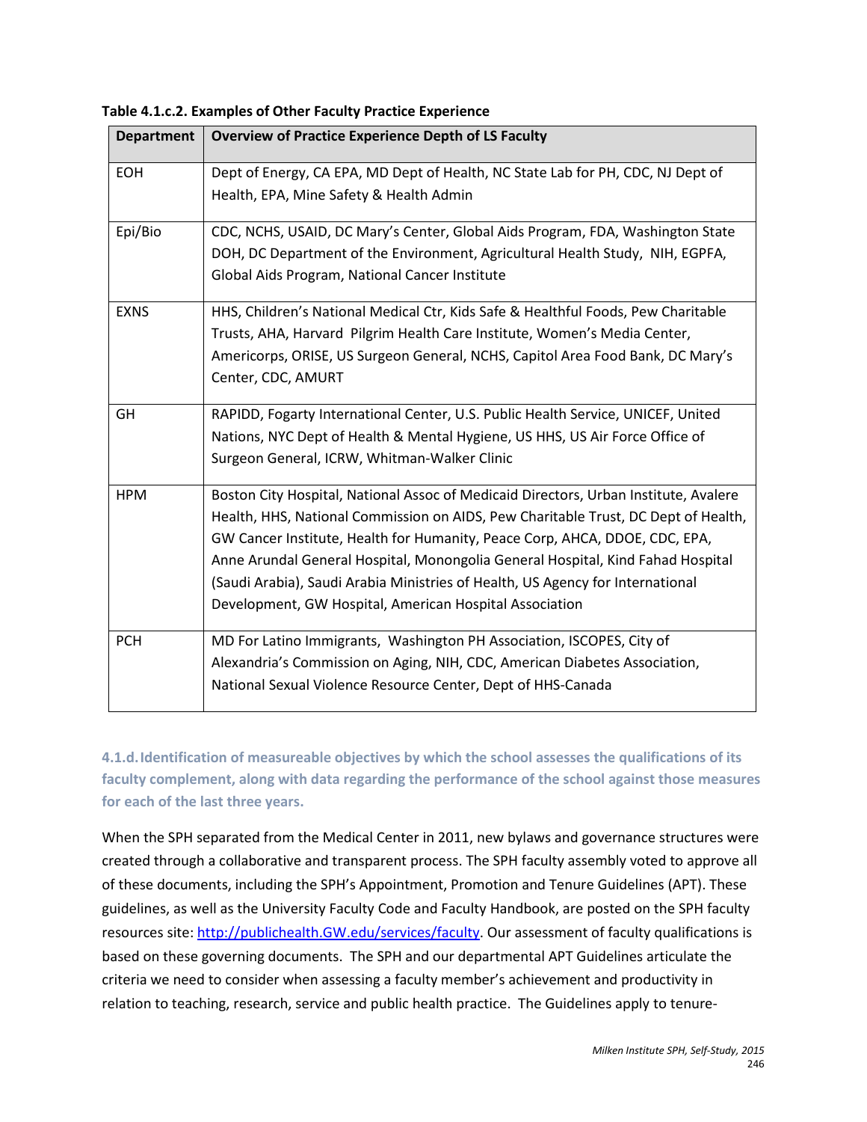**Table 4.1.c.2. Examples of Other Faculty Practice Experience**

| <b>Department</b> | <b>Overview of Practice Experience Depth of LS Faculty</b>                                                                                                                                                                                                                                                                                                                                                                                                                                |
|-------------------|-------------------------------------------------------------------------------------------------------------------------------------------------------------------------------------------------------------------------------------------------------------------------------------------------------------------------------------------------------------------------------------------------------------------------------------------------------------------------------------------|
| <b>EOH</b>        | Dept of Energy, CA EPA, MD Dept of Health, NC State Lab for PH, CDC, NJ Dept of<br>Health, EPA, Mine Safety & Health Admin                                                                                                                                                                                                                                                                                                                                                                |
| Epi/Bio           | CDC, NCHS, USAID, DC Mary's Center, Global Aids Program, FDA, Washington State<br>DOH, DC Department of the Environment, Agricultural Health Study, NIH, EGPFA,<br>Global Aids Program, National Cancer Institute                                                                                                                                                                                                                                                                         |
| <b>EXNS</b>       | HHS, Children's National Medical Ctr, Kids Safe & Healthful Foods, Pew Charitable<br>Trusts, AHA, Harvard Pilgrim Health Care Institute, Women's Media Center,<br>Americorps, ORISE, US Surgeon General, NCHS, Capitol Area Food Bank, DC Mary's<br>Center, CDC, AMURT                                                                                                                                                                                                                    |
| GH                | RAPIDD, Fogarty International Center, U.S. Public Health Service, UNICEF, United<br>Nations, NYC Dept of Health & Mental Hygiene, US HHS, US Air Force Office of<br>Surgeon General, ICRW, Whitman-Walker Clinic                                                                                                                                                                                                                                                                          |
| <b>HPM</b>        | Boston City Hospital, National Assoc of Medicaid Directors, Urban Institute, Avalere<br>Health, HHS, National Commission on AIDS, Pew Charitable Trust, DC Dept of Health,<br>GW Cancer Institute, Health for Humanity, Peace Corp, AHCA, DDOE, CDC, EPA,<br>Anne Arundal General Hospital, Monongolia General Hospital, Kind Fahad Hospital<br>(Saudi Arabia), Saudi Arabia Ministries of Health, US Agency for International<br>Development, GW Hospital, American Hospital Association |
| <b>PCH</b>        | MD For Latino Immigrants, Washington PH Association, ISCOPES, City of<br>Alexandria's Commission on Aging, NIH, CDC, American Diabetes Association,<br>National Sexual Violence Resource Center, Dept of HHS-Canada                                                                                                                                                                                                                                                                       |

**4.1.d.Identification of measureable objectives by which the school assesses the qualifications of its faculty complement, along with data regarding the performance of the school against those measures for each of the last three years.** 

When the SPH separated from the Medical Center in 2011, new bylaws and governance structures were created through a collaborative and transparent process. The SPH faculty assembly voted to approve all of these documents, including the SPH's Appointment, Promotion and Tenure Guidelines (APT). These guidelines, as well as the University Faculty Code and Faculty Handbook, are posted on the SPH faculty resources site: [http://publichealth.GW.edu/services/faculty.](http://publichealth.gwu.edu/services/faculty) Our assessment of faculty qualifications is based on these governing documents. The SPH and our departmental APT Guidelines articulate the criteria we need to consider when assessing a faculty member's achievement and productivity in relation to teaching, research, service and public health practice. The Guidelines apply to tenure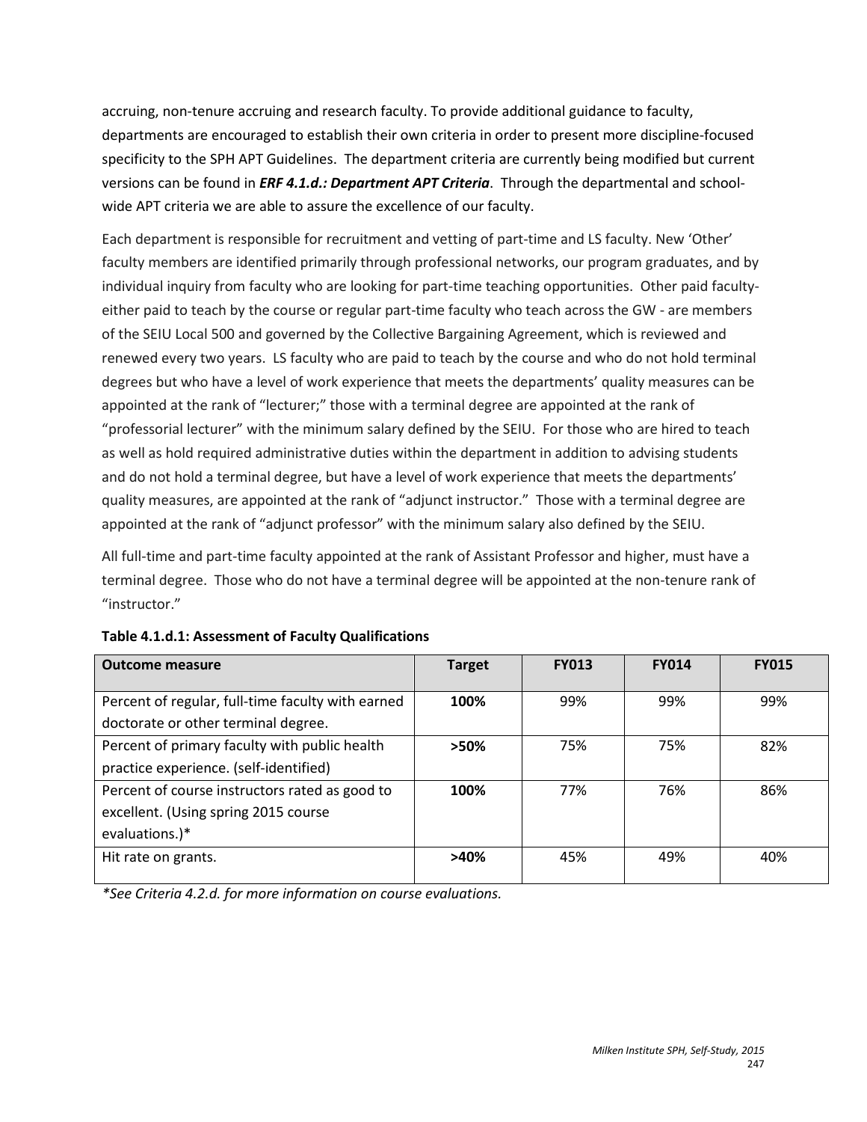accruing, non-tenure accruing and research faculty. To provide additional guidance to faculty, departments are encouraged to establish their own criteria in order to present more discipline-focused specificity to the SPH APT Guidelines. The department criteria are currently being modified but current versions can be found in *ERF 4.1.d.: Department APT Criteria*. Through the departmental and schoolwide APT criteria we are able to assure the excellence of our faculty.

Each department is responsible for recruitment and vetting of part-time and LS faculty. New 'Other' faculty members are identified primarily through professional networks, our program graduates, and by individual inquiry from faculty who are looking for part-time teaching opportunities. Other paid facultyeither paid to teach by the course or regular part-time faculty who teach across the GW - are members of the SEIU Local 500 and governed by the Collective Bargaining Agreement, which is reviewed and renewed every two years. LS faculty who are paid to teach by the course and who do not hold terminal degrees but who have a level of work experience that meets the departments' quality measures can be appointed at the rank of "lecturer;" those with a terminal degree are appointed at the rank of "professorial lecturer" with the minimum salary defined by the SEIU. For those who are hired to teach as well as hold required administrative duties within the department in addition to advising students and do not hold a terminal degree, but have a level of work experience that meets the departments' quality measures, are appointed at the rank of "adjunct instructor." Those with a terminal degree are appointed at the rank of "adjunct professor" with the minimum salary also defined by the SEIU.

All full-time and part-time faculty appointed at the rank of Assistant Professor and higher, must have a terminal degree. Those who do not have a terminal degree will be appointed at the non-tenure rank of "instructor."

| <b>Outcome measure</b>                            | <b>Target</b> | <b>FY013</b> | <b>FY014</b> | <b>FY015</b> |
|---------------------------------------------------|---------------|--------------|--------------|--------------|
| Percent of regular, full-time faculty with earned | 100%          | 99%          | 99%          | 99%          |
| doctorate or other terminal degree.               |               |              |              |              |
| Percent of primary faculty with public health     | $>50\%$       | 75%          | 75%          | 82%          |
| practice experience. (self-identified)            |               |              |              |              |
| Percent of course instructors rated as good to    | 100%          | 77%          | 76%          | 86%          |
| excellent. (Using spring 2015 course              |               |              |              |              |
| evaluations.)*                                    |               |              |              |              |
| Hit rate on grants.                               | >40%          | 45%          | 49%          | 40%          |
|                                                   |               |              |              |              |

**Table 4.1.d.1: Assessment of Faculty Qualifications**

*\*See Criteria 4.2.d. for more information on course evaluations.*